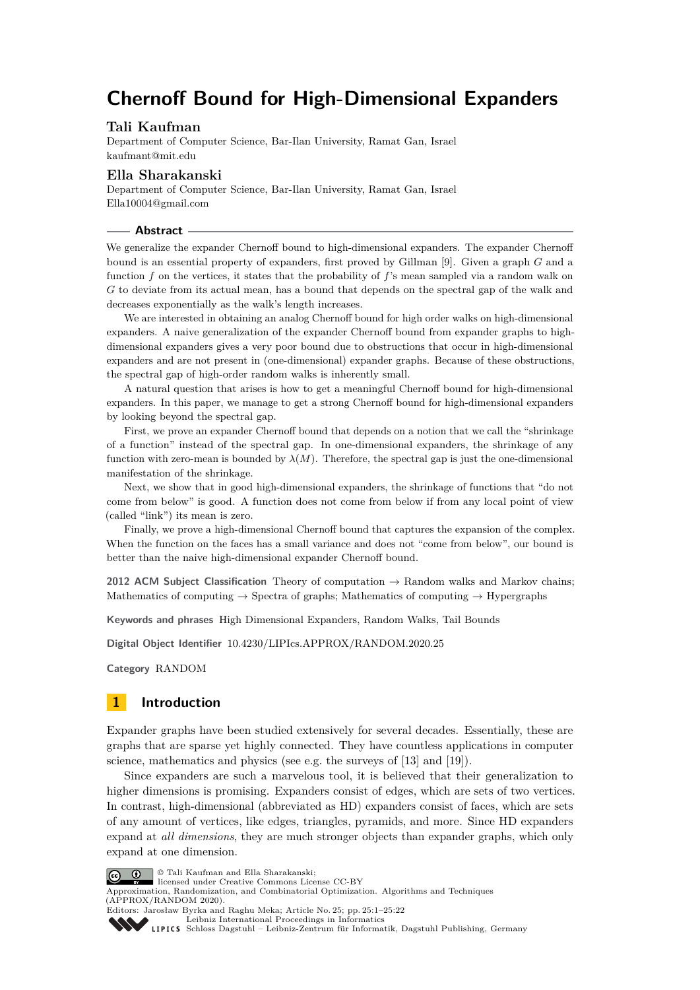# **Chernoff Bound for High-Dimensional Expanders**

# **Tali Kaufman**

Department of Computer Science, Bar-Ilan University, Ramat Gan, Israel [kaufmant@mit.edu](mailto:kaufmant@mit.edu)

# **Ella Sharakanski**

Department of Computer Science, Bar-Ilan University, Ramat Gan, Israel [Ella10004@gmail.com](mailto:Ella10004@gmail.com)

#### **Abstract**

We generalize the expander Chernoff bound to high-dimensional expanders. The expander Chernoff bound is an essential property of expanders, first proved by Gillman [\[9\]](#page-16-0). Given a graph *G* and a function *f* on the vertices, it states that the probability of *f*'s mean sampled via a random walk on *G* to deviate from its actual mean, has a bound that depends on the spectral gap of the walk and decreases exponentially as the walk's length increases.

We are interested in obtaining an analog Chernoff bound for high order walks on high-dimensional expanders. A naive generalization of the expander Chernoff bound from expander graphs to highdimensional expanders gives a very poor bound due to obstructions that occur in high-dimensional expanders and are not present in (one-dimensional) expander graphs. Because of these obstructions, the spectral gap of high-order random walks is inherently small.

A natural question that arises is how to get a meaningful Chernoff bound for high-dimensional expanders. In this paper, we manage to get a strong Chernoff bound for high-dimensional expanders by looking beyond the spectral gap.

First, we prove an expander Chernoff bound that depends on a notion that we call the "shrinkage of a function" instead of the spectral gap. In one-dimensional expanders, the shrinkage of any function with zero-mean is bounded by  $\lambda(M)$ . Therefore, the spectral gap is just the one-dimensional manifestation of the shrinkage.

Next, we show that in good high-dimensional expanders, the shrinkage of functions that "do not come from below" is good. A function does not come from below if from any local point of view (called "link") its mean is zero.

Finally, we prove a high-dimensional Chernoff bound that captures the expansion of the complex. When the function on the faces has a small variance and does not "come from below", our bound is better than the naive high-dimensional expander Chernoff bound.

**2012 ACM Subject Classification** Theory of computation → Random walks and Markov chains; Mathematics of computing  $\rightarrow$  Spectra of graphs; Mathematics of computing  $\rightarrow$  Hypergraphs

**Keywords and phrases** High Dimensional Expanders, Random Walks, Tail Bounds

**Digital Object Identifier** [10.4230/LIPIcs.APPROX/RANDOM.2020.25](https://doi.org/10.4230/LIPIcs.APPROX/RANDOM.2020.25)

**Category** RANDOM

# **1 Introduction**

Expander graphs have been studied extensively for several decades. Essentially, these are graphs that are sparse yet highly connected. They have countless applications in computer science, mathematics and physics (see e.g. the surveys of [\[13\]](#page-16-1) and [\[19\]](#page-16-2)).

Since expanders are such a marvelous tool, it is believed that their generalization to higher dimensions is promising. Expanders consist of edges, which are sets of two vertices. In contrast, high-dimensional (abbreviated as HD) expanders consist of faces, which are sets of any amount of vertices, like edges, triangles, pyramids, and more. Since HD expanders expand at *all dimensions*, they are much stronger objects than expander graphs, which only expand at one dimension.



© Tali Kaufman and Ella Sharakanski;

licensed under Creative Commons License CC-BY

Approximation, Randomization, and Combinatorial Optimization. Algorithms and Techniques (APPROX/RANDOM 2020). Editors: Jarosław Byrka and Raghu Meka; Article No. 25; pp. 25:1–25[:22](#page-21-0)



[Leibniz International Proceedings in Informatics](https://www.dagstuhl.de/lipics/)

[Schloss Dagstuhl – Leibniz-Zentrum für Informatik, Dagstuhl Publishing, Germany](https://www.dagstuhl.de)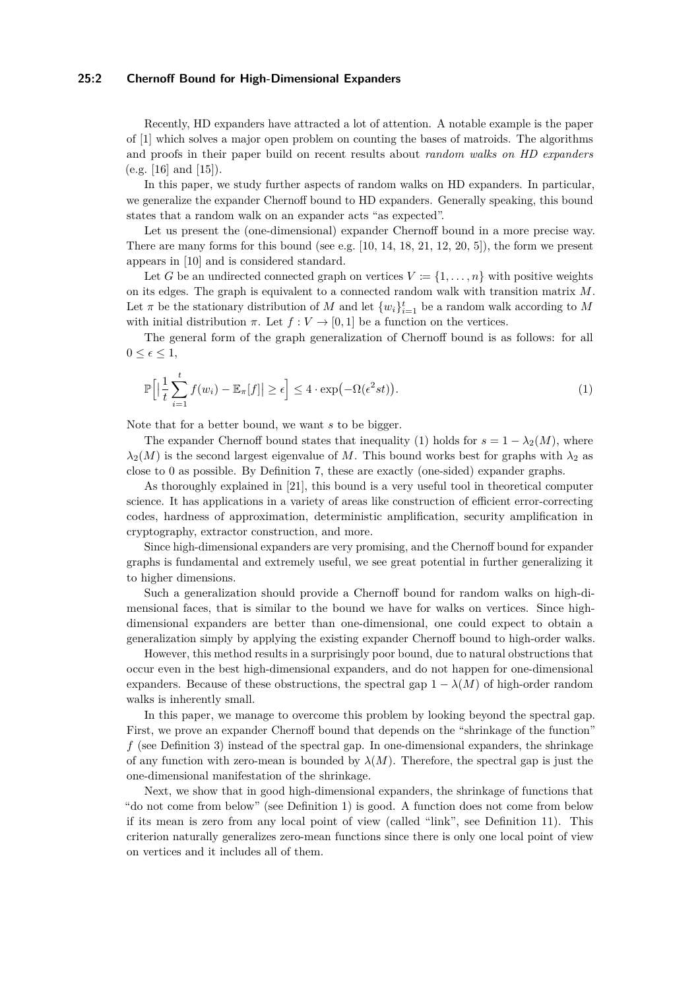#### **25:2 Chernoff Bound for High-Dimensional Expanders**

Recently, HD expanders have attracted a lot of attention. A notable example is the paper of [\[1\]](#page-15-0) which solves a major open problem on counting the bases of matroids. The algorithms and proofs in their paper build on recent results about *random walks on HD expanders* (e.g. [\[16\]](#page-16-3) and [\[15\]](#page-16-4)).

In this paper, we study further aspects of random walks on HD expanders. In particular, we generalize the expander Chernoff bound to HD expanders. Generally speaking, this bound states that a random walk on an expander acts "as expected".

Let us present the (one-dimensional) expander Chernoff bound in a more precise way. There are many forms for this bound (see e.g.  $[10, 14, 18, 21, 12, 20, 5]$  $[10, 14, 18, 21, 12, 20, 5]$  $[10, 14, 18, 21, 12, 20, 5]$  $[10, 14, 18, 21, 12, 20, 5]$  $[10, 14, 18, 21, 12, 20, 5]$  $[10, 14, 18, 21, 12, 20, 5]$  $[10, 14, 18, 21, 12, 20, 5]$  $[10, 14, 18, 21, 12, 20, 5]$  $[10, 14, 18, 21, 12, 20, 5]$  $[10, 14, 18, 21, 12, 20, 5]$  $[10, 14, 18, 21, 12, 20, 5]$  $[10, 14, 18, 21, 12, 20, 5]$  $[10, 14, 18, 21, 12, 20, 5]$ ), the form we present appears in [\[10\]](#page-16-5) and is considered standard.

Let *G* be an undirected connected graph on vertices  $V := \{1, \ldots, n\}$  with positive weights on its edges. The graph is equivalent to a connected random walk with transition matrix *M*. Let  $\pi$  be the stationary distribution of  $M$  and let  $\{w_i\}_{i=1}^t$  be a random walk according to  $M$ with initial distribution  $\pi$ . Let  $f: V \to [0, 1]$  be a function on the vertices.

The general form of the graph generalization of Chernoff bound is as follows: for all  $0 \leq \epsilon \leq 1$ ,

<span id="page-1-0"></span>
$$
\mathbb{P}\Big[\Big|\frac{1}{t}\sum_{i=1}^t f(w_i) - \mathbb{E}_\pi[f]\Big| \ge \epsilon\Big] \le 4 \cdot \exp\Big(-\Omega(\epsilon^2 st)\Big). \tag{1}
$$

Note that for a better bound, we want *s* to be bigger.

The expander Chernoff bound states that inequality [\(1\)](#page-1-0) holds for  $s = 1 - \lambda_2(M)$ , where  $\lambda_2(M)$  is the second largest eigenvalue of *M*. This bound works best for graphs with  $\lambda_2$  as close to 0 as possible. By Definition [7,](#page-7-0) these are exactly (one-sided) expander graphs.

As thoroughly explained in [\[21\]](#page-16-8), this bound is a very useful tool in theoretical computer science. It has applications in a variety of areas like construction of efficient error-correcting codes, hardness of approximation, deterministic amplification, security amplification in cryptography, extractor construction, and more.

Since high-dimensional expanders are very promising, and the Chernoff bound for expander graphs is fundamental and extremely useful, we see great potential in further generalizing it to higher dimensions.

Such a generalization should provide a Chernoff bound for random walks on high-dimensional faces, that is similar to the bound we have for walks on vertices. Since highdimensional expanders are better than one-dimensional, one could expect to obtain a generalization simply by applying the existing expander Chernoff bound to high-order walks.

However, this method results in a surprisingly poor bound, due to natural obstructions that occur even in the best high-dimensional expanders, and do not happen for one-dimensional expanders. Because of these obstructions, the spectral gap  $1 - \lambda(M)$  of high-order random walks is inherently small.

In this paper, we manage to overcome this problem by looking beyond the spectral gap. First, we prove an expander Chernoff bound that depends on the "shrinkage of the function" *f* (see Definition [3\)](#page-4-0) instead of the spectral gap. In one-dimensional expanders, the shrinkage of any function with zero-mean is bounded by  $\lambda(M)$ . Therefore, the spectral gap is just the one-dimensional manifestation of the shrinkage.

Next, we show that in good high-dimensional expanders, the shrinkage of functions that "do not come from below" (see Definition [1\)](#page-2-0) is good. A function does not come from below if its mean is zero from any local point of view (called "link", see Definition [11\)](#page-7-1). This criterion naturally generalizes zero-mean functions since there is only one local point of view on vertices and it includes all of them.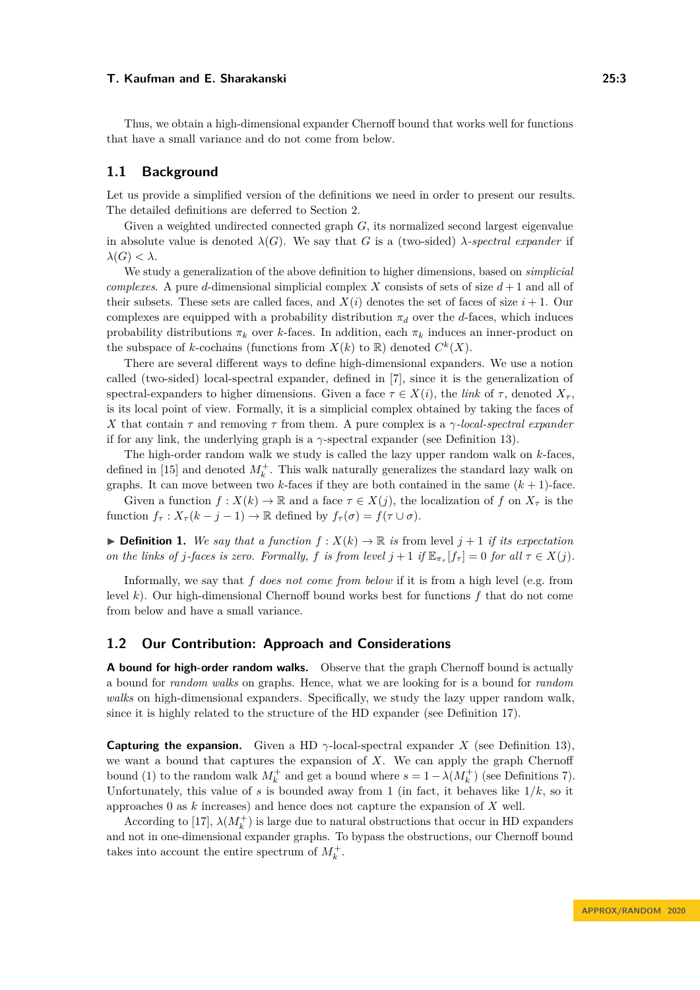Thus, we obtain a high-dimensional expander Chernoff bound that works well for functions that have a small variance and do not come from below.

# **1.1 Background**

Let us provide a simplified version of the definitions we need in order to present our results. The detailed definitions are deferred to Section [2.](#page-6-0)

Given a weighted undirected connected graph *G*, its normalized second largest eigenvalue in absolute value is denoted  $\lambda(G)$ . We say that *G* is a (two-sided) *λ*-spectral expander if *λ*(*G*) *< λ*.

We study a generalization of the above definition to higher dimensions, based on *simplicial complexes*. A pure *d*-dimensional simplicial complex *X* consists of sets of size  $d+1$  and all of their subsets. These sets are called faces, and  $X(i)$  denotes the set of faces of size  $i + 1$ . Our complexes are equipped with a probability distribution  $\pi_d$  over the *d*-faces, which induces probability distributions  $\pi_k$  over *k*-faces. In addition, each  $\pi_k$  induces an inner-product on the subspace of *k*-cochains (functions from  $X(k)$  to  $\mathbb{R}$ ) denoted  $C^k(X)$ .

There are several different ways to define high-dimensional expanders. We use a notion called (two-sided) local-spectral expander, defined in [\[7\]](#page-16-12), since it is the generalization of spectral-expanders to higher dimensions. Given a face  $\tau \in X(i)$ , the *link* of  $\tau$ , denoted  $X_{\tau}$ . is its local point of view. Formally, it is a simplicial complex obtained by taking the faces of *X* that contain *τ* and removing *τ* from them. A pure complex is a *γ-local-spectral expander* if for any link, the underlying graph is a  $\gamma$ -spectral expander (see Definition [13\)](#page-8-0).

The high-order random walk we study is called the lazy upper random walk on *k*-faces, defined in [\[15\]](#page-16-4) and denoted  $M_k^+$ . This walk naturally generalizes the standard lazy walk on graphs. It can move between two  $k$ -faces if they are both contained in the same  $(k + 1)$ -face.

Given a function  $f: X(k) \to \mathbb{R}$  and a face  $\tau \in X(j)$ , the localization of  $f$  on  $X_{\tau}$  is the function  $f_\tau: X_\tau (k - j - 1) \to \mathbb{R}$  defined by  $f_\tau(\sigma) = f(\tau \cup \sigma)$ .

<span id="page-2-0"></span> $\triangleright$  **Definition 1.** We say that a function  $f: X(k) \to \mathbb{R}$  is from level  $j + 1$  if its expectation *on the links of j*-faces *is zero.* Formally, *f is from level*  $j + 1$  *if*  $\mathbb{E}_{\pi_{\tau}}[f_{\tau}] = 0$  *for all*  $\tau \in X(j)$ *.* 

Informally, we say that *f does not come from below* if it is from a high level (e.g. from level *k*). Our high-dimensional Chernoff bound works best for functions *f* that do not come from below and have a small variance.

## **1.2 Our Contribution: Approach and Considerations**

**A bound for high-order random walks.** Observe that the graph Chernoff bound is actually a bound for *random walks* on graphs. Hence, what we are looking for is a bound for *random walks* on high-dimensional expanders. Specifically, we study the lazy upper random walk, since it is highly related to the structure of the HD expander (see Definition [17\)](#page-8-1).

**Capturing the expansion.** Given a HD  $\gamma$ -local-spectral expander *X* (see Definition [13\)](#page-8-0), we want a bound that captures the expansion of *X*. We can apply the graph Chernoff bound [\(1\)](#page-1-0) to the random walk  $M_k^+$  and get a bound where  $s = 1 - \lambda(M_k^+)$  (see Definitions [7\)](#page-7-0). Unfortunately, this value of  $s$  is bounded away from 1 (in fact, it behaves like  $1/k$ , so it approaches 0 as *k* increases) and hence does not capture the expansion of *X* well.

According to [\[17\]](#page-16-13),  $\lambda(M_k^+)$  is large due to natural obstructions that occur in HD expanders and not in one-dimensional expander graphs. To bypass the obstructions, our Chernoff bound takes into account the entire spectrum of  $M_k^+$ .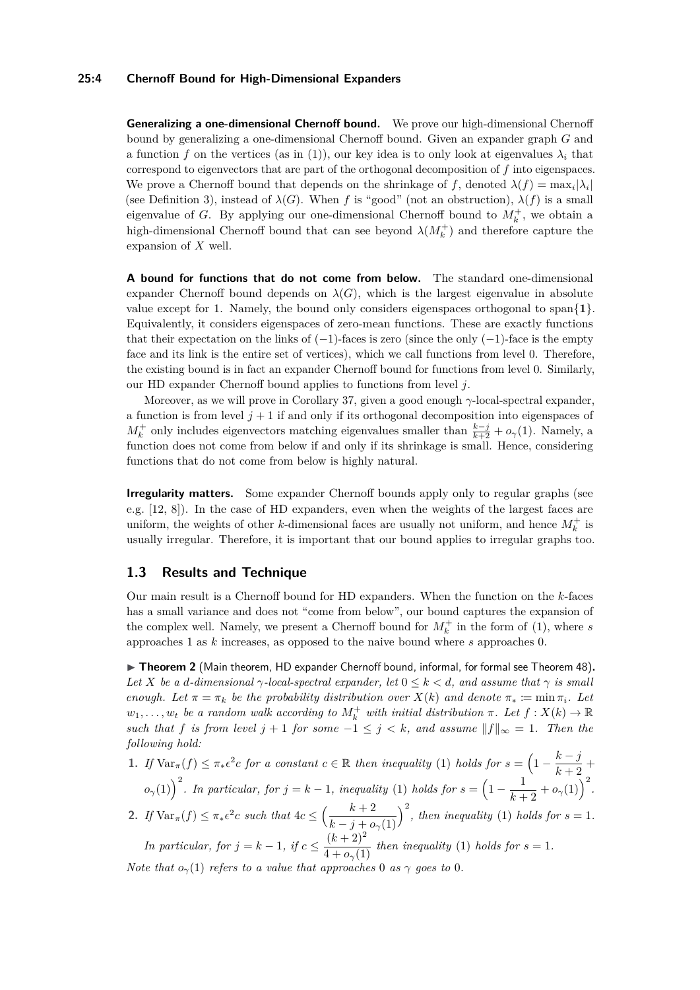### **25:4 Chernoff Bound for High-Dimensional Expanders**

**Generalizing a one-dimensional Chernoff bound.** We prove our high-dimensional Chernoff bound by generalizing a one-dimensional Chernoff bound. Given an expander graph *G* and a function f on the vertices (as in [\(1\)](#page-1-0)), our key idea is to only look at eigenvalues  $\lambda_i$  that correspond to eigenvectors that are part of the orthogonal decomposition of *f* into eigenspaces. We prove a Chernoff bound that depends on the shrinkage of  $f$ , denoted  $\lambda(f) = \max_i |\lambda_i|$ (see Definition [3\)](#page-4-0), instead of  $\lambda(G)$ . When *f* is "good" (not an obstruction),  $\lambda(f)$  is a small eigenvalue of *G*. By applying our one-dimensional Chernoff bound to  $M_k^+$ , we obtain a high-dimensional Chernoff bound that can see beyond  $\lambda(M_k^+)$  and therefore capture the expansion of *X* well.

**A bound for functions that do not come from below.** The standard one-dimensional expander Chernoff bound depends on  $\lambda(G)$ , which is the largest eigenvalue in absolute value except for 1. Namely, the bound only considers eigenspaces orthogonal to span{**1**}. Equivalently, it considers eigenspaces of zero-mean functions. These are exactly functions that their expectation on the links of  $(-1)$ -faces is zero (since the only  $(-1)$ -face is the empty face and its link is the entire set of vertices), which we call functions from level 0. Therefore, the existing bound is in fact an expander Chernoff bound for functions from level 0. Similarly, our HD expander Chernoff bound applies to functions from level *j*.

Moreover, as we will prove in Corollary [37,](#page-13-0) given a good enough *γ*-local-spectral expander, a function is from level  $j + 1$  if and only if its orthogonal decomposition into eigenspaces of  $M_k^+$  only includes eigenvectors matching eigenvalues smaller than  $\frac{k-j}{k+2} + o_\gamma(1)$ . Namely, a function does not come from below if and only if its shrinkage is small. Hence, considering functions that do not come from below is highly natural.

**Irregularity matters.** Some expander Chernoff bounds apply only to regular graphs (see e.g. [\[12,](#page-16-9) [8\]](#page-16-14)). In the case of HD expanders, even when the weights of the largest faces are uniform, the weights of other *k*-dimensional faces are usually not uniform, and hence  $M_k^+$  is usually irregular. Therefore, it is important that our bound applies to irregular graphs too.

## **1.3 Results and Technique**

Our main result is a Chernoff bound for HD expanders. When the function on the *k*-faces has a small variance and does not "come from below", our bound captures the expansion of the complex well. Namely, we present a Chernoff bound for  $M_k^+$  in the form of [\(1\)](#page-1-0), where *s* approaches 1 as *k* increases, as opposed to the naive bound where *s* approaches 0.

▶ Theorem 2 (Main theorem, HD expander Chernoff bound, informal, for formal see Theorem [48\)](#page-15-1). *Let X be a d-dimensional*  $\gamma$ *-local-spectral expander, let*  $0 \leq k < d$ *, and assume that*  $\gamma$  *is small enough.* Let  $\pi = \pi_k$  be the probability distribution over  $X(k)$  and denote  $\pi_* := \min \pi_i$ . Let  $w_1, \ldots, w_t$  *be a random walk according to*  $M_k^+$  *with initial distribution*  $\pi$ *. Let*  $f : X(k) \to \mathbb{R}$ *such that f is from level*  $j + 1$  *for some*  $-1 \le j \le k$ *, and assume*  $||f||_{\infty} = 1$ *. Then the following hold:*

**1.** *If*  $\text{Var}_{\pi}(f) \leq \pi_* \epsilon^2 c$  *for a constant*  $c \in \mathbb{R}$  *then inequality* [\(1\)](#page-1-0) *holds for*  $s = \left(1 - \frac{k - j}{k + 2} \right)$  $\frac{k}{k+2}$  +  $\sigma$ <sub>*γ*</sub>[\(1\)](#page-1-0)</sub>  $\int$ <sup>2</sup>. In particular, for  $j = k - 1$ , inequality (1) holds for  $s = \left(1 - \frac{1}{k - 1}\right)$  $\frac{1}{k+2} + o_{\gamma}(1)$ <sup>2</sup>. **2.** *If*  $\text{Var}_{\pi}(f) \leq \pi_* \epsilon^2 c$  *such that*  $4c \leq \left(\frac{k+2}{k}\right)$  $k - j + o_\gamma(1)$  $\int_{0}^{2}$ , then inequality [\(1\)](#page-1-0) holds for  $s = 1$ . *In particular, for*  $j = k - 1$ , if  $c \leq \frac{(k+2)^2}{k}$  $\frac{(n+2)}{4 + o_\gamma(1)}$  $\frac{(n+2)}{4 + o_\gamma(1)}$  $\frac{(n+2)}{4 + o_\gamma(1)}$  *then inequality* (1) *holds for*  $s = 1$ *.* 

*Note that*  $o_\gamma(1)$  *refers to a value that approaches* 0 *as*  $\gamma$  *goes to* 0*.*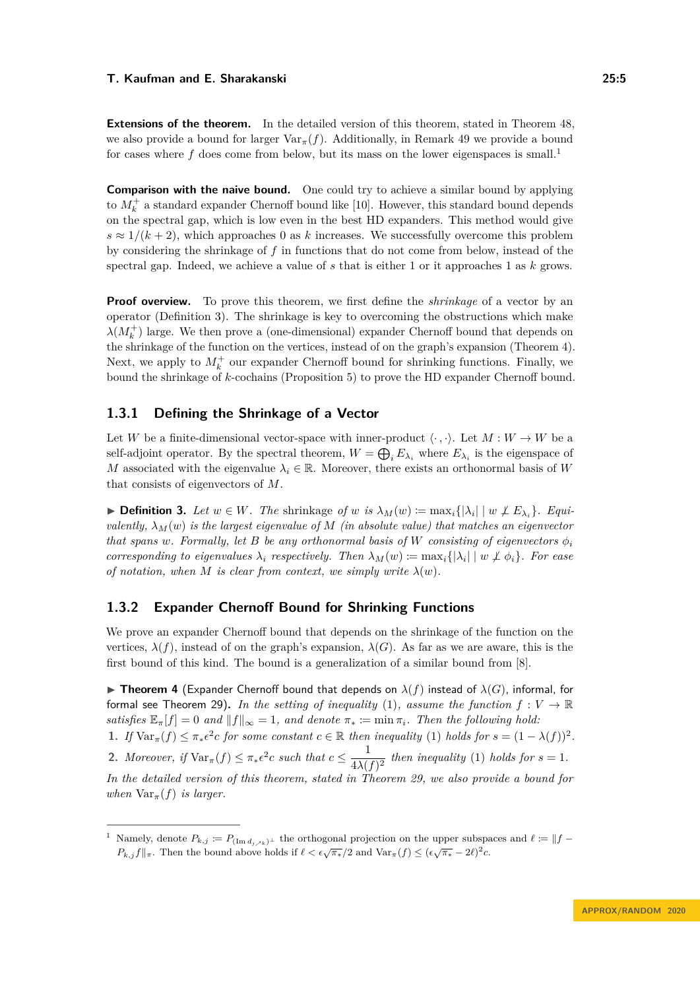**Extensions of the theorem.** In the detailed version of this theorem, stated in Theorem 48. we also provide a bound for larger  $\text{Var}_{\pi}(f)$ . Additionally, in Remark [49](#page-15-2) we provide a bound for cases where  $f$  does come from below, but its mass on the lower eigenspaces is small.<sup>[1](#page-4-1)</sup>

**Comparison with the naive bound.** One could try to achieve a similar bound by applying to  $M_k^+$  a standard expander Chernoff bound like [\[10\]](#page-16-5). However, this standard bound depends on the spectral gap, which is low even in the best HD expanders. This method would give  $s \approx 1/(k+2)$ , which approaches 0 as *k* increases. We successfully overcome this problem by considering the shrinkage of *f* in functions that do not come from below, instead of the spectral gap. Indeed, we achieve a value of *s* that is either 1 or it approaches 1 as *k* grows.

**Proof overview.** To prove this theorem, we first define the *shrinkage* of a vector by an operator (Definition [3\)](#page-4-0). The shrinkage is key to overcoming the obstructions which make  $\lambda(M_k^+)$  large. We then prove a (one-dimensional) expander Chernoff bound that depends on the shrinkage of the function on the vertices, instead of on the graph's expansion (Theorem [4\)](#page-4-2). Next, we apply to  $M_k^+$  our expander Chernoff bound for shrinking functions. Finally, we bound the shrinkage of *k*-cochains (Proposition [5\)](#page-5-0) to prove the HD expander Chernoff bound.

# **1.3.1 Defining the Shrinkage of a Vector**

Let *W* be a finite-dimensional vector-space with inner-product  $\langle \cdot, \cdot \rangle$ . Let  $M: W \to W$  be a self-adjoint operator. By the spectral theorem,  $W = \bigoplus_i E_{\lambda_i}$  where  $E_{\lambda_i}$  is the eigenspace of *M* associated with the eigenvalue  $\lambda_i \in \mathbb{R}$ . Moreover, there exists an orthonormal basis of *W* that consists of eigenvectors of *M*.

<span id="page-4-0"></span>▶ **Definition 3.** *Let*  $w \in W$ *. The* shrinkage *of*  $w$  *is*  $\lambda_M(w) := \max_i \{|\lambda_i| \mid w \not\perp E_{\lambda_i}\}\$ *. Equivalently, λM*(*w*) *is the largest eigenvalue of M (in absolute value) that matches an eigenvector that spans w. Formally, let B be any orthonormal basis of W consisting of eigenvectors*  $\phi_i$ *corresponding to eigenvalues*  $\lambda_i$  *respectively. Then*  $\lambda_M(w) \coloneqq \max_i \{|\lambda_i| \mid w \not\perp \phi_i\}$ *. For ease of notation, when*  $M$  *is clear from context, we simply write*  $\lambda(w)$ *.* 

# **1.3.2 Expander Chernoff Bound for Shrinking Functions**

We prove an expander Chernoff bound that depends on the shrinkage of the function on the vertices,  $\lambda(f)$ , instead of on the graph's expansion,  $\lambda(G)$ . As far as we are aware, this is the first bound of this kind. The bound is a generalization of a similar bound from [\[8\]](#page-16-14).

<span id="page-4-2"></span>**Theorem 4** (Expander Chernoff bound that depends on  $\lambda(f)$  instead of  $\lambda(G)$ , informal, for formal see Theorem [29\)](#page-10-0). In the setting of inequality [\(1\)](#page-1-0), assume the function  $f: V \to \mathbb{R}$ *satisfies*  $\mathbb{E}_{\pi}[f] = 0$  *and*  $||f||_{\infty} = 1$ *, and denote*  $\pi_* := \min \pi_i$ *. Then the following hold:* **1.** *If*  $\text{Var}_{\pi}(f) \leq \pi_* \epsilon^2 c$  *for some constant*  $c \in \mathbb{R}$  *then inequality* [\(1\)](#page-1-0) *holds for*  $s = (1 - \lambda(f))^2$ *.* **2.** *Moreover, if*  $\text{Var}_{\pi}(f) \leq \pi_* \epsilon^2 c$  *such that*  $c \leq \frac{1}{4\sqrt{6}}$  $\frac{1}{4\lambda(f)^2}$  then inequality [\(1\)](#page-1-0) holds for  $s = 1$ . *In the detailed version of this theorem, stated in Theorem [29,](#page-10-0) we also provide a bound for when*  $\text{Var}_{\pi}(f)$  *is larger.* 

<span id="page-4-1"></span><sup>&</sup>lt;sup>1</sup> Namely, denote  $P_{k,j} := P_{(\text{Im }d_j \nearrow k)^\perp}$  the orthogonal projection on the upper subspaces and  $\ell := ||f -$ *P*<sub>*k*</sub>,*j*  $f||_{\pi}$ . Then the bound above holds if  $\ell < \epsilon \sqrt{\pi_*}/2$  and Var<sub>*π*</sub>(*f*)  $\leq (\epsilon \sqrt{\pi_*} - 2\ell)^2 c$ .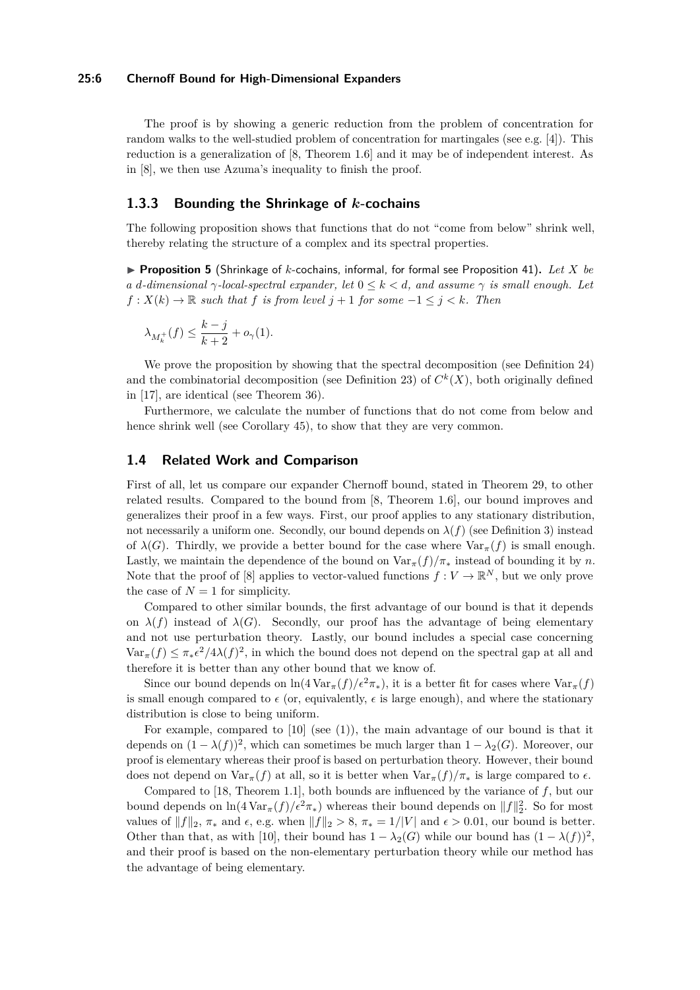#### **25:6 Chernoff Bound for High-Dimensional Expanders**

The proof is by showing a generic reduction from the problem of concentration for random walks to the well-studied problem of concentration for martingales (see e.g. [\[4\]](#page-16-15)). This reduction is a generalization of [\[8,](#page-16-14) Theorem 1.6] and it may be of independent interest. As in [\[8\]](#page-16-14), we then use [Azuma's inequality](#page-17-0) to finish the proof.

# **1.3.3 Bounding the Shrinkage of** *k***-cochains**

The following proposition shows that functions that do not "come from below" shrink well, thereby relating the structure of a complex and its spectral properties.

<span id="page-5-0"></span>▶ **Proposition 5** (Shrinkage of *k*-cochains, informal, for formal see Proposition [41\)](#page-13-1). Let *X* be *a d*<sup>*-dimensional*  $\gamma$ *-local-spectral expander, let*  $0 \leq k < d$ *, and assume*  $\gamma$  *is small enough. Let*</sup>  $f: X(k) \to \mathbb{R}$  *such that*  $f$  *is from level*  $j + 1$  *for some*  $-1 \leq j \leq k$ *. Then* 

$$
\lambda_{M_k^+}(f) \le \frac{k-j}{k+2} + o_{\gamma}(1).
$$

We prove the proposition by showing that the spectral decomposition (see Definition [24\)](#page-9-0) and the combinatorial decomposition (see Definition [23\)](#page-9-1) of  $C<sup>k</sup>(X)$ , both originally defined in [\[17\]](#page-16-13), are identical (see Theorem [36\)](#page-12-0).

Furthermore, we calculate the number of functions that do not come from below and hence shrink well (see Corollary [45\)](#page-14-0), to show that they are very common.

# **1.4 Related Work and Comparison**

First of all, let us compare our expander Chernoff bound, stated in Theorem [29,](#page-10-0) to other related results. Compared to the bound from [\[8,](#page-16-14) Theorem 1.6], our bound improves and generalizes their proof in a few ways. First, our proof applies to any stationary distribution, not necessarily a uniform one. Secondly, our bound depends on  $\lambda(f)$  (see Definition [3\)](#page-4-0) instead of  $\lambda(G)$ . Thirdly, we provide a better bound for the case where  $\text{Var}_{\pi}(f)$  is small enough. Lastly, we maintain the dependence of the bound on  $\text{Var}_{\pi}(f)/\pi_*$  instead of bounding it by *n*. Note that the proof of [\[8\]](#page-16-14) applies to vector-valued functions  $f: V \to \mathbb{R}^N$ , but we only prove the case of  $N=1$  for simplicity.

Compared to other similar bounds, the first advantage of our bound is that it depends on  $\lambda(f)$  instead of  $\lambda(G)$ . Secondly, our proof has the advantage of being elementary and not use perturbation theory. Lastly, our bound includes a special case concerning  $\text{Var}_{\pi}(f) \leq \pi_* \epsilon^2/4\lambda(f)^2$ , in which the bound does not depend on the spectral gap at all and therefore it is better than any other bound that we know of.

Since our bound depends on  $\ln(4 \text{Var}_{\pi}(f)/\epsilon^2 \pi_{*})$ , it is a better fit for cases where  $\text{Var}_{\pi}(f)$ is small enough compared to  $\epsilon$  (or, equivalently,  $\epsilon$  is large enough), and where the stationary distribution is close to being uniform.

For example, compared to [\[10\]](#page-16-5) (see [\(1\)](#page-1-0)), the main advantage of our bound is that it depends on  $(1 - \lambda(f))^2$ , which can sometimes be much larger than  $1 - \lambda_2(G)$ . Moreover, our proof is elementary whereas their proof is based on perturbation theory. However, their bound does not depend on  $\text{Var}_{\pi}(f)$  at all, so it is better when  $\text{Var}_{\pi}(f)/\pi_*$  is large compared to  $\epsilon$ .

Compared to [\[18,](#page-16-7) Theorem 1.1], both bounds are influenced by the variance of *f*, but our bound depends on  $\ln(4 \text{Var}_{\pi}(f)/\epsilon^2 \pi)$  whereas their bound depends on  $||f||_2^2$ . So for most values of  $||f||_2$ ,  $\pi_*$  and  $\epsilon$ , e.g. when  $||f||_2 > 8$ ,  $\pi_* = 1/|V|$  and  $\epsilon > 0.01$ , our bound is better. Other than that, as with [\[10\]](#page-16-5), their bound has  $1 - \lambda_2(G)$  while our bound has  $(1 - \lambda(f))^2$ , and their proof is based on the non-elementary perturbation theory while our method has the advantage of being elementary.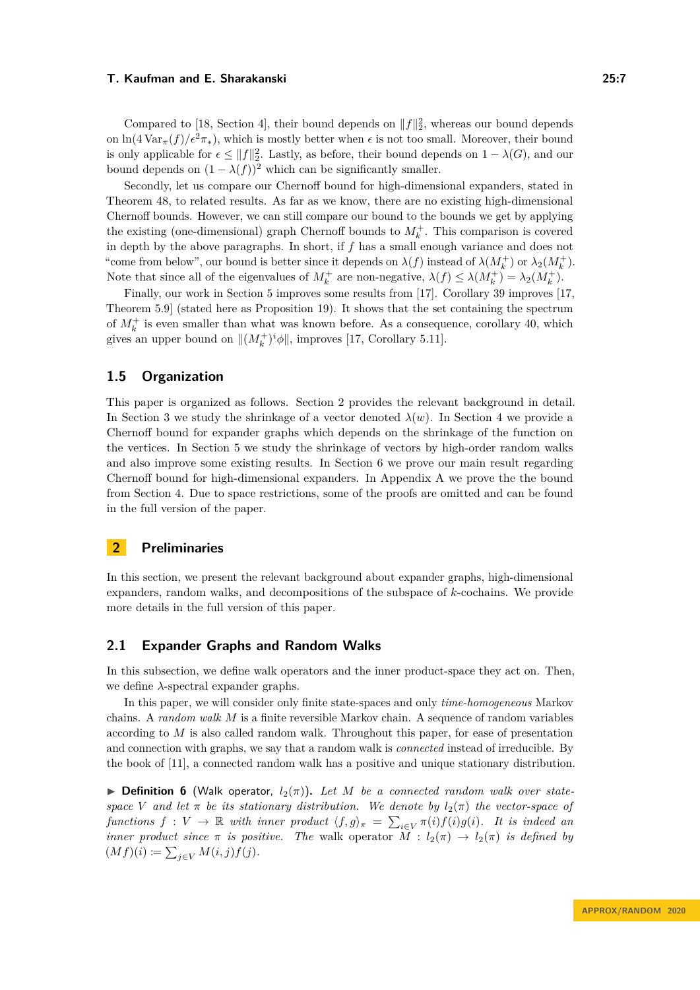Compared to [\[18,](#page-16-7) Section 4], their bound depends on  $||f||_2^2$ , whereas our bound depends on  $\ln(4 \text{Var}_{\pi}(f)/\epsilon^2 \pi_*)$ , which is mostly better when  $\epsilon$  is not too small. Moreover, their bound is only applicable for  $\epsilon \leq ||f||_2^2$ . Lastly, as before, their bound depends on  $1 - \lambda(G)$ , and our bound depends on  $(1 - \lambda(f))^2$  which can be significantly smaller.

Secondly, let us compare our Chernoff bound for high-dimensional expanders, stated in Theorem [48,](#page-15-1) to related results. As far as we know, there are no existing high-dimensional Chernoff bounds. However, we can still compare our bound to the bounds we get by applying the existing (one-dimensional) graph Chernoff bounds to  $M_k^+$ . This comparison is covered in depth by the above paragraphs. In short, if *f* has a small enough variance and does not "come from below", our bound is better since it depends on  $\lambda(f)$  instead of  $\lambda(M_k^+)$  or  $\lambda_2(M_k^+)$ . Note that since all of the eigenvalues of  $M_k^+$  are non-negative,  $\lambda(f) \leq \lambda(M_k^+) = \lambda_2(M_k^+)$ .

Finally, our work in Section [5](#page-11-0) improves some results from [\[17\]](#page-16-13). Corollary [39](#page-13-2) improves [\[17,](#page-16-13) Theorem 5.9] (stated here as Proposition [19\)](#page-9-2). It shows that the set containing the spectrum of  $M_k^+$  is even smaller than what was known before. As a consequence, corollary [40,](#page-13-3) which gives an upper bound on  $||(M_k^+)^i \phi||$ , improves [\[17,](#page-16-13) Corollary 5.11].

# **1.5 Organization**

This paper is organized as follows. Section [2](#page-6-0) provides the relevant background in detail. In Section [3](#page-10-1) we study the shrinkage of a vector denoted  $\lambda(w)$ . In Section [4](#page-10-2) we provide a Chernoff bound for expander graphs which depends on the shrinkage of the function on the vertices. In Section [5](#page-11-0) we study the shrinkage of vectors by high-order random walks and also improve some existing results. In Section [6](#page-15-3) we prove our main result regarding Chernoff bound for high-dimensional expanders. In Appendix [A](#page-17-1) we prove the the bound from Section [4.](#page-10-2) Due to space restrictions, some of the proofs are omitted and can be found in the full version of the paper.

# <span id="page-6-0"></span>**2 Preliminaries**

In this section, we present the relevant background about expander graphs, high-dimensional expanders, random walks, and decompositions of the subspace of *k*-cochains. We provide more details in the full version of this paper.

## **2.1 Expander Graphs and Random Walks**

In this subsection, we define walk operators and the inner product-space they act on. Then, we define *λ*-spectral expander graphs.

In this paper, we will consider only finite state-spaces and only *time-homogeneous* Markov chains. A *random walk M* is a finite reversible Markov chain. A sequence of random variables according to *M* is also called random walk. Throughout this paper, for ease of presentation and connection with graphs, we say that a random walk is *connected* instead of irreducible. By the book of [\[11\]](#page-16-16), a connected random walk has a positive and unique stationary distribution.

 $\triangleright$  **Definition 6** (Walk operator,  $l_2(\pi)$ ). Let M be a connected random walk over state*space V* and let  $\pi$  *be its stationary distribution.* We denote by  $l_2(\pi)$  the vector-space of *functions*  $f: V \to \mathbb{R}$  *with inner product*  $\langle f, g \rangle_{\pi} = \sum_{i \in V} \pi(i) f(i) g(i)$ *. It is indeed an inner product since*  $\pi$  *is positive. The* walk operator  $M : l_2(\pi) \to l_2(\pi)$  *is defined by*  $(Mf)(i) \coloneqq \sum_{j \in V} M(i,j) f(j).$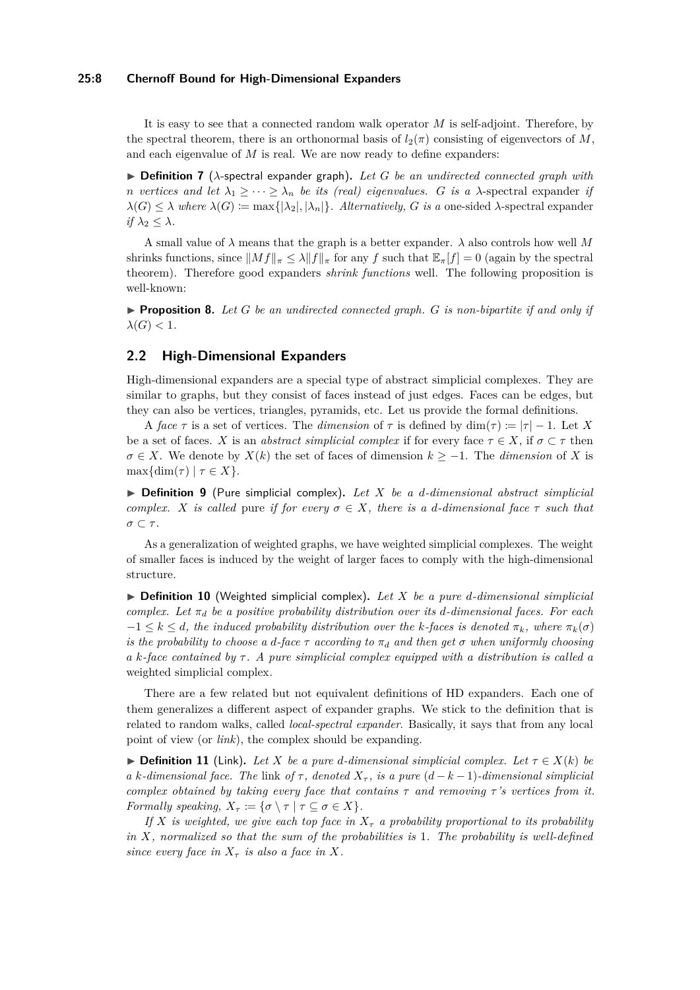#### **25:8 Chernoff Bound for High-Dimensional Expanders**

It is easy to see that a connected random walk operator *M* is self-adjoint. Therefore, by the spectral theorem, there is an orthonormal basis of  $l_2(\pi)$  consisting of eigenvectors of M, and each eigenvalue of *M* is real. We are now ready to define expanders:

<span id="page-7-0"></span> $\triangleright$  **Definition 7** ( $\lambda$ -spectral expander graph). Let G be an undirected connected graph with *n vertices and let*  $\lambda_1 \geq \cdots \geq \lambda_n$  *be its (real) eigenvalues. G is a*  $\lambda$ -spectral expander *if*  $\lambda(G) \leq \lambda$  where  $\lambda(G) := \max\{|\lambda_2|, |\lambda_n|\}$ . Alternatively, *G* is a one-sided  $\lambda$ -spectral expander *if*  $\lambda_2 \leq \lambda$ *.* 

A small value of *λ* means that the graph is a better expander. *λ* also controls how well *M* shrinks functions, since  $\|Mf\|_{\pi} \leq \lambda \|f\|_{\pi}$  for any *f* such that  $\mathbb{E}_{\pi}[f] = 0$  (again by the spectral theorem). Therefore good expanders *shrink functions* well. The following proposition is well-known:

<span id="page-7-2"></span>**Proposition 8.** Let  $G$  be an undirected connected graph.  $G$  is non-bipartite if and only if  $\lambda(G) < 1$ *.* 

# **2.2 High-Dimensional Expanders**

High-dimensional expanders are a special type of abstract simplicial complexes. They are similar to graphs, but they consist of faces instead of just edges. Faces can be edges, but they can also be vertices, triangles, pyramids, etc. Let us provide the formal definitions.

A *face*  $\tau$  is a set of vertices. The *dimension* of  $\tau$  is defined by dim( $\tau$ ) :=  $|\tau| - 1$ . Let X be a set of faces. *X* is an *abstract simplicial complex* if for every face  $\tau \in X$ , if  $\sigma \subset \tau$  then  $\sigma \in X$ . We denote by *X*(*k*) the set of faces of dimension  $k \geq -1$ . The *dimension* of *X* is  $\max\{\dim(\tau) \mid \tau \in X\}.$ 

I **Definition 9** (Pure simplicial complex)**.** *Let X be a d-dimensional abstract simplicial complex. X is called* pure *if for every*  $\sigma \in X$ *, there is a d-dimensional face*  $\tau$  *such that σ* ⊂ *τ .*

As a generalization of weighted graphs, we have weighted simplicial complexes. The weight of smaller faces is induced by the weight of larger faces to comply with the high-dimensional structure.

 $\triangleright$  **Definition 10** (Weighted simplicial complex). Let X be a pure d-dimensional simplicial *complex. Let*  $\pi_d$  *be a positive probability distribution over its d-dimensional faces. For each*  $-1 \leq k \leq d$ *, the induced probability distribution over the k-faces is denoted*  $\pi_k$ *, where*  $\pi_k(\sigma)$ *is the probability to choose a d-face*  $\tau$  *according to*  $\pi_d$  *and then get*  $\sigma$  *when uniformly choosing a k-face contained by τ . A pure simplicial complex equipped with a distribution is called a* weighted simplicial complex*.*

There are a few related but not equivalent definitions of HD expanders. Each one of them generalizes a different aspect of expander graphs. We stick to the definition that is related to random walks, called *local-spectral expander*. Basically, it says that from any local point of view (or *link*), the complex should be expanding.

<span id="page-7-1"></span>**► Definition 11** (Link). Let *X* be a pure *d*-dimensional simplicial complex. Let  $\tau \in X(k)$  be *a k*-dimensional face. The link of  $\tau$ , denoted  $X_{\tau}$ , is a pure  $(d - k - 1)$ -dimensional simplicial *complex obtained by taking every face that contains*  $\tau$  *and removing*  $\tau$ 's vertices from it. *Formally speaking,*  $X_{\tau} := {\sigma \setminus \tau | \tau \subseteq \sigma \in X}.$ 

*If*  $X$  *is weighted, we give each top face in*  $X<sub>\tau</sub>$  *a probability proportional to its probability in X, normalized so that the sum of the probabilities is* 1*. The probability is well-defined since every face in*  $X_{\tau}$  *is also a face in*  $X$ *.*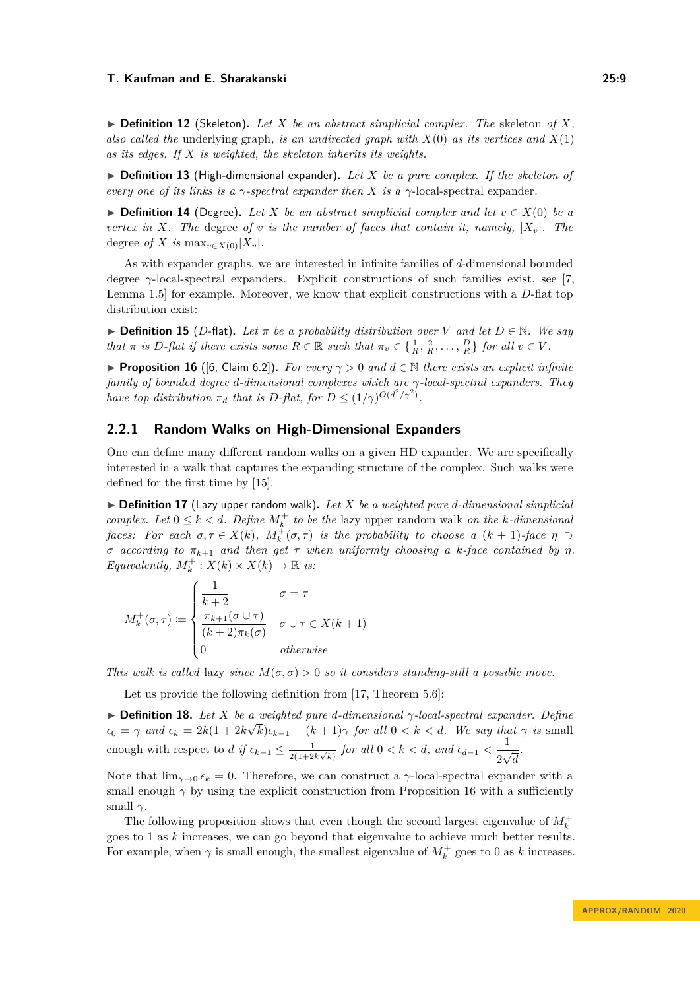$\triangleright$  **Definition 12** (Skeleton). Let *X* be an abstract simplicial complex. The skeleton of *X*, *also called the* underlying graph*, is an undirected graph with X*(0) *as its vertices and X*(1) *as its edges. If X is weighted, the skeleton inherits its weights.*

<span id="page-8-0"></span>▶ **Definition 13** (High-dimensional expander). Let *X* be a pure complex. If the skeleton of *every one of its links is a γ-spectral expander then X is a γ*-local-spectral expander*.*

**► Definition 14** (Degree). Let *X* be an abstract simplicial complex and let  $v \in X(0)$  be a *vertex in X. The* degree *of v is the number of faces that contain it, namely,*  $|X_v|$ *. The* degree *of X is* max<sub>*v*∈*X*(0)</sub>|*X*<sub>*v*</sub>|*.* 

As with expander graphs, we are interested in infinite families of *d*-dimensional bounded degree *γ*-local-spectral expanders. Explicit constructions of such families exist, see [\[7,](#page-16-12) Lemma 1.5] for example. Moreover, we know that explicit constructions with a *D*-flat top distribution exist:

**► Definition 15** (*D*-flat). Let  $\pi$  be a probability distribution over V and let  $D \in \mathbb{N}$ . We say that  $\pi$  is D-flat if there exists some  $R \in \mathbb{R}$  such that  $\pi_v \in \{\frac{1}{R}, \frac{2}{R}, \dots, \frac{D}{R}\}\$  for all  $v \in V$ .

<span id="page-8-2"></span>**Proposition 16** ([\[6,](#page-16-17) Claim 6.2]). For every  $\gamma > 0$  and  $d \in \mathbb{N}$  there exists an explicit infinite *family of bounded degree d-dimensional complexes which are γ-local-spectral expanders. They have top distribution*  $\pi_d$  *that is*  $D$ *-flat, for*  $D \leq (1/\gamma)^{O(d^2/\gamma^2)}$ *.* 

## **2.2.1 Random Walks on High-Dimensional Expanders**

One can define many different random walks on a given HD expander. We are specifically interested in a walk that captures the expanding structure of the complex. Such walks were defined for the first time by [\[15\]](#page-16-4).

<span id="page-8-1"></span> $\triangleright$  **Definition 17** (Lazy upper random walk). Let X be a weighted pure d-dimensional simplicial *complex. Let*  $0 \leq k < d$ *. Define*  $M_k^+$  *to be the* lazy upper random walk *on the k*-dimensional *faces:* For each  $\sigma, \tau \in X(k)$ ,  $M_k^+(\sigma, \tau)$  is the probability to choose a  $(k + 1)$ -face  $\eta \supset$ *σ according to*  $\pi_{k+1}$  *and then get*  $\tau$  *when uniformly choosing a k*-face contained by  $\eta$ . *Equivalently,*  $M_k^+$ :  $X(k) \times X(k) \to \mathbb{R}$  *is:* 

$$
M_k^+(\sigma, \tau) := \begin{cases} \frac{1}{k+2} & \sigma = \tau \\ \frac{\pi_{k+1}(\sigma \cup \tau)}{(k+2)\pi_k(\sigma)} & \sigma \cup \tau \in X(k+1) \\ 0 & otherwise \end{cases}
$$

*This walk is called* lazy *since*  $M(\sigma, \sigma) > 0$  *so it considers standing-still a possible move.* 

Let us provide the following definition from [\[17,](#page-16-13) Theorem 5.6]:

<span id="page-8-3"></span> $\triangleright$  **Definition 18.** Let *X* be a weighted pure *d*-dimensional  $\gamma$ -local-spectral expander. Define  $\epsilon_0 = \gamma$  *and*  $\epsilon_k = 2k(1 + 2k)$  $\frac{u}{\sqrt{2}}$  $(k)\epsilon_{k-1} + (k+1)\gamma$  *for all*  $0 < k < d$ *. We say that*  $\gamma$  *is* small enough with respect to *d if*  $\epsilon_{k-1} \leq \frac{1}{2(1-2)}$  $\frac{1}{2(1+2k\sqrt{k})}$  *for all* 0 < *k* < *d, and*  $\epsilon_{d-1}$  <  $\frac{1}{2k}$ 2  $\frac{1}{\sqrt{2}}$ *d .*

Note that  $\lim_{\gamma\to 0} \epsilon_k = 0$ . Therefore, we can construct a  $\gamma$ -local-spectral expander with a small enough  $\gamma$  by using the explicit construction from Proposition [16](#page-8-2) with a sufficiently small *γ*.

The following proposition shows that even though the second largest eigenvalue of  $M_k^+$ goes to 1 as *k* increases, we can go beyond that eigenvalue to achieve much better results. For example, when  $\gamma$  is small enough, the smallest eigenvalue of  $M_k^+$  goes to 0 as  $k$  increases.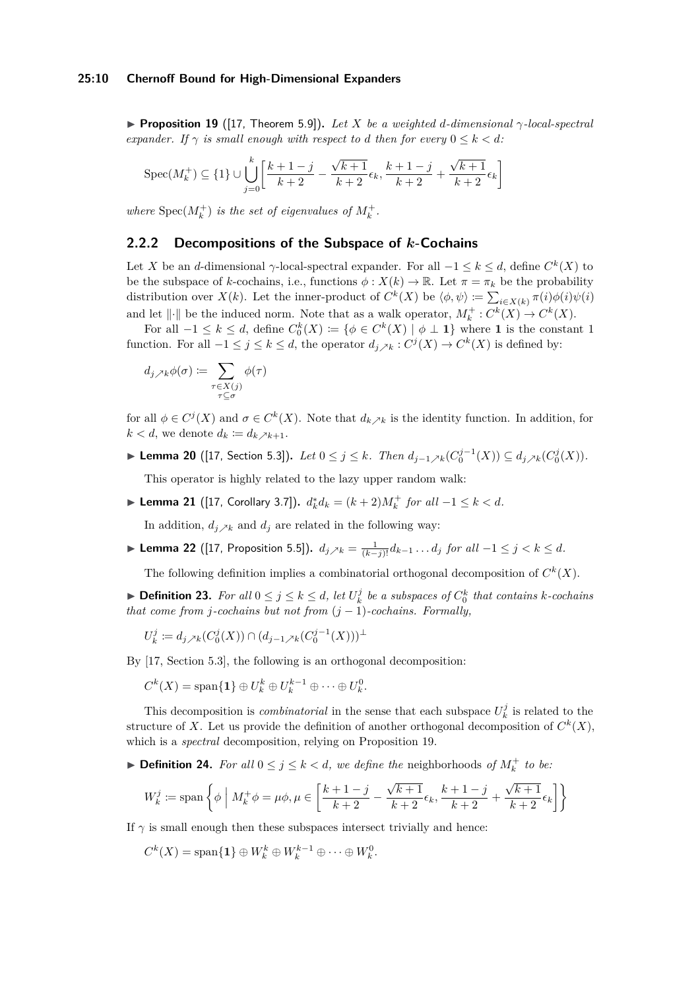<span id="page-9-2"></span>**Proposition 19** ([\[17,](#page-16-13) Theorem 5.9]). Let *X* be a weighted *d*-dimensional  $\gamma$ -local-spectral *expander.* If  $\gamma$  *is small enough with respect to d then for every*  $0 \leq k < d$ *:* 

$$
\operatorname{Spec}(M_k^+) \subseteq \{1\} \cup \bigcup_{j=0}^k \left[ \frac{k+1-j}{k+2} - \frac{\sqrt{k+1}}{k+2} \epsilon_k, \frac{k+1-j}{k+2} + \frac{\sqrt{k+1}}{k+2} \epsilon_k \right]
$$

*where*  $Spec(M_k^+)$  *is the set of eigenvalues of*  $M_k^+$ .

## **2.2.2 Decompositions of the Subspace of** *k***-Cochains**

Let *X* be an *d*-dimensional  $\gamma$ -local-spectral expander. For all  $-1 \leq k \leq d$ , define  $C^k(X)$  to be the subspace of *k*-cochains, i.e., functions  $\phi: X(k) \to \mathbb{R}$ . Let  $\pi = \pi_k$  be the probability distribution over  $X(k)$ . Let the inner-product of  $C^k(X)$  be  $\langle \phi, \psi \rangle := \sum_{i \in X(k)} \pi(i) \phi(i) \psi(i)$ and let  $\|\cdot\|$  be the induced norm. Note that as a walk operator,  $M_k^+ : C^k(X) \to C^k(X)$ .

For all  $-1 \leq k \leq d$ , define  $C_0^k(X) \coloneqq {\varphi \in C^k(X) \mid \phi \perp \mathbf{1}}$  where **1** is the constant 1 function. For all  $-1 \leq j \leq k \leq d$ , the operator  $d_{j} \nearrow_k : C^j(X) \to C^k(X)$  is defined by:

$$
d_{j\nearrow k}\phi(\sigma)\coloneqq\sum_{\substack{\tau\in X(j)\\ \tau\subseteq\sigma}}\phi(\tau)
$$

for all  $\phi \in C^j(X)$  and  $\sigma \in C^k(X)$ . Note that  $d_k \nearrow_k$  is the identity function. In addition, for  $k < d$ , we denote  $d_k \coloneqq d_k \times k+1$ .

<span id="page-9-3"></span>► Lemma 20 ([\[17,](#page-16-13) Section 5.3]). Let  $0 \le j \le k$ *. Then*  $d_{j-1} \nearrow k(C_0^{j-1}(X)) \subseteq d_{j} \nearrow k(C_0^j(X))$ *.* 

This operator is highly related to the lazy upper random walk:

<span id="page-9-4"></span>► **Lemma 21** ([\[17,](#page-16-13) Corollary 3.7]).  $d_k^* d_k = (k+2)M_k^+$  *for all*  $-1 \le k < d$ *.* 

In addition,  $d_j \times_k$  and  $d_j$  are related in the following way:

<span id="page-9-5"></span>▶ Lemma 22 ([\[17,](#page-16-13) Proposition 5.5]).  $d_{j} \nearrow k = \frac{1}{(k-j)!} d_{k-1} \dots d_j$  *for all*  $-1 \leq j < k \leq d$ .

The following definition implies a combinatorial orthogonal decomposition of  $C^k(X)$ .

<span id="page-9-1"></span>▶ **Definition 23.** For all  $0 \leq j \leq k \leq d$ , let  $U_k^j$  be a subspaces of  $C_0^k$  that contains *k-cochains that come from j-cochains but not from* (*j* − 1)*-cochains. Formally,*

$$
U_k^j := d_{j \nearrow k}(C_0^j(X)) \cap (d_{j-1} \nearrow k(C_0^{j-1}(X)))^{\perp}
$$

By [\[17,](#page-16-13) Section 5.3], the following is an orthogonal decomposition:

$$
C^k(X) = \text{span}\{\mathbf{1}\} \oplus U^k_k \oplus U^{k-1}_k \oplus \cdots \oplus U^0_k.
$$

This decomposition is *combinatorial* in the sense that each subspace  $U_k^j$  is related to the structure of X. Let us provide the definition of another orthogonal decomposition of  $C<sup>k</sup>(X)$ , which is a *spectral* decomposition, relying on Proposition [19.](#page-9-2)

<span id="page-9-0"></span>▶ **Definition 24.** *For all*  $0 \leq j \leq k < d$ , we define the neighborhoods of  $M_k^+$  to be:

$$
W_k^j := \text{span}\left\{\phi \mid M_k^+ \phi = \mu \phi, \mu \in \left[\frac{k+1-j}{k+2} - \frac{\sqrt{k+1}}{k+2} \epsilon_k, \frac{k+1-j}{k+2} + \frac{\sqrt{k+1}}{k+2} \epsilon_k\right]\right\}
$$

If  $\gamma$  is small enough then these subspaces intersect trivially and hence:

 $C^{k}(X) = \text{span}\{\mathbf{1}\}\oplus W_{k}^{k} \oplus W_{k}^{k-1} \oplus \cdots \oplus W_{k}^{0}.$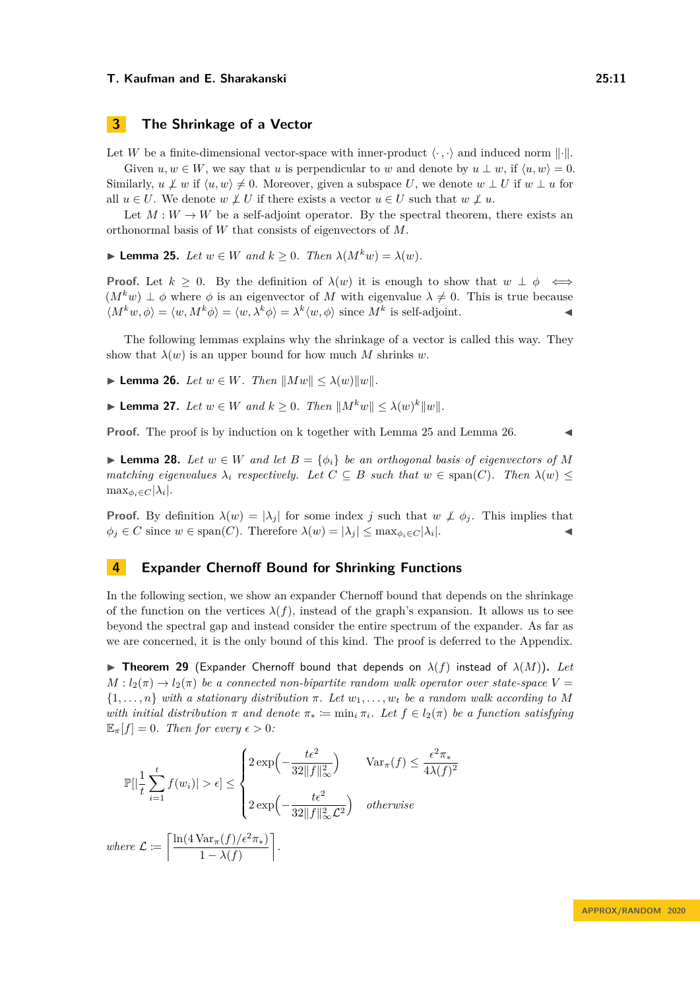# <span id="page-10-1"></span>**3 The Shrinkage of a Vector**

Let *W* be a finite-dimensional vector-space with inner-product  $\langle \cdot, \cdot \rangle$  and induced norm  $|| \cdot ||$ .

Given  $u, w \in W$ , we say that *u* is perpendicular to *w* and denote by  $u \perp w$ , if  $\langle u, w \rangle = 0$ . Similarly,  $u \not\perp w$  if  $\langle u, w \rangle \neq 0$ . Moreover, given a subspace *U*, we denote  $w \perp U$  if  $w \perp u$  for all  $u \in U$ . We denote  $w \not\perp U$  if there exists a vector  $u \in U$  such that  $w \not\perp u$ .

Let  $M: W \to W$  be a self-adjoint operator. By the spectral theorem, there exists an orthonormal basis of *W* that consists of eigenvectors of *M*.

<span id="page-10-3"></span>► **Lemma 25.** *Let*  $w \in W$  *and*  $k > 0$ *. Then*  $\lambda(M^kw) = \lambda(w)$ *.* 

**Proof.** Let  $k \geq 0$ . By the definition of  $\lambda(w)$  it is enough to show that  $w \perp \phi \iff$  $(M<sup>k</sup>w) \perp \phi$  where  $\phi$  is an eigenvector of *M* with eigenvalue  $\lambda \neq 0$ . This is true because  $\langle M^k w, \phi \rangle = \langle w, M^k \phi \rangle = \langle w, \lambda^k \phi \rangle = \lambda^k \langle w, \phi \rangle$  since  $M^k$  is self-adjoint.

The following lemmas explains why the shrinkage of a vector is called this way. They show that  $\lambda(w)$  is an upper bound for how much M shrinks w.

<span id="page-10-4"></span>▶ **Lemma 26.** *Let*  $w \in W$ *. Then*  $||Mw|| \leq \lambda(w)||w||$ .

<span id="page-10-6"></span>▶ **Lemma 27.** *Let*  $w \in W$  *and*  $k \geq 0$ *. Then*  $||M^kw|| \leq \lambda(w)^k ||w||$ *.* 

**Proof.** The proof is by induction on k together with Lemma [25](#page-10-3) and Lemma [26.](#page-10-4)

<span id="page-10-5"></span>▶ **Lemma 28.** *Let*  $w ∈ W$  *and let*  $B = \{\phi_i\}$  *be an orthogonal basis of eigenvectors of*  $M$ *matching eigenvalues*  $\lambda_i$  *respectively.* Let  $C \subseteq B$  *such that*  $w \in \text{span}(C)$ *. Then*  $\lambda(w) \leq$  $\max_{\phi_i \in C} |\lambda_i|$ .

**Proof.** By definition  $\lambda(w) = |\lambda_j|$  for some index *j* such that  $w \not\perp \phi_j$ . This implies that  $\phi_j \in C$  since  $w \in \text{span}(C)$ . Therefore  $\lambda(w) = |\lambda_j| \leq \max_{\phi_i \in C} |\lambda_i|$ . |. J

# <span id="page-10-2"></span>**4 Expander Chernoff Bound for Shrinking Functions**

In the following section, we show an expander Chernoff bound that depends on the shrinkage of the function on the vertices  $\lambda(f)$ , instead of the graph's expansion. It allows us to see beyond the spectral gap and instead consider the entire spectrum of the expander. As far as we are concerned, it is the only bound of this kind. The proof is deferred to the Appendix.

<span id="page-10-0"></span> $\triangleright$  **Theorem 29** (Expander Chernoff bound that depends on  $\lambda(f)$  instead of  $\lambda(M)$ ). Let  $M: l_2(\pi) \to l_2(\pi)$  *be a connected non-bipartite random walk operator over state-space*  $V =$  $\{1, \ldots, n\}$  *with a stationary distribution*  $\pi$ *. Let*  $w_1, \ldots, w_t$  *be a random walk according to M with initial distribution*  $\pi$  *and denote*  $\pi_* := \min_i \pi_i$ *. Let*  $f \in l_2(\pi)$  *be a function satisfying*  $\mathbb{E}_{\pi}[f] = 0$ *. Then for every*  $\epsilon > 0$ *:* 

$$
\mathbb{P}[\left|\frac{1}{t}\sum_{i=1}^{t}f(w_i)\right|>\epsilon] \leq \begin{cases} 2\exp\left(-\frac{t\epsilon^2}{32\|f\|_{\infty}^2}\right) & \text{Var}_{\pi}(f) \leq \frac{\epsilon^2\pi_*}{4\lambda(f)^2} \\ 2\exp\left(-\frac{t\epsilon^2}{32\|f\|_{\infty}^2\mathcal{L}^2}\right) & \text{otherwise} \end{cases}
$$
\n
$$
where \ \mathcal{L} := \left\lceil \frac{\ln(4\operatorname{Var}_{\pi}(f)/\epsilon^2\pi_*)}{1-\lambda(f)} \right\rceil.
$$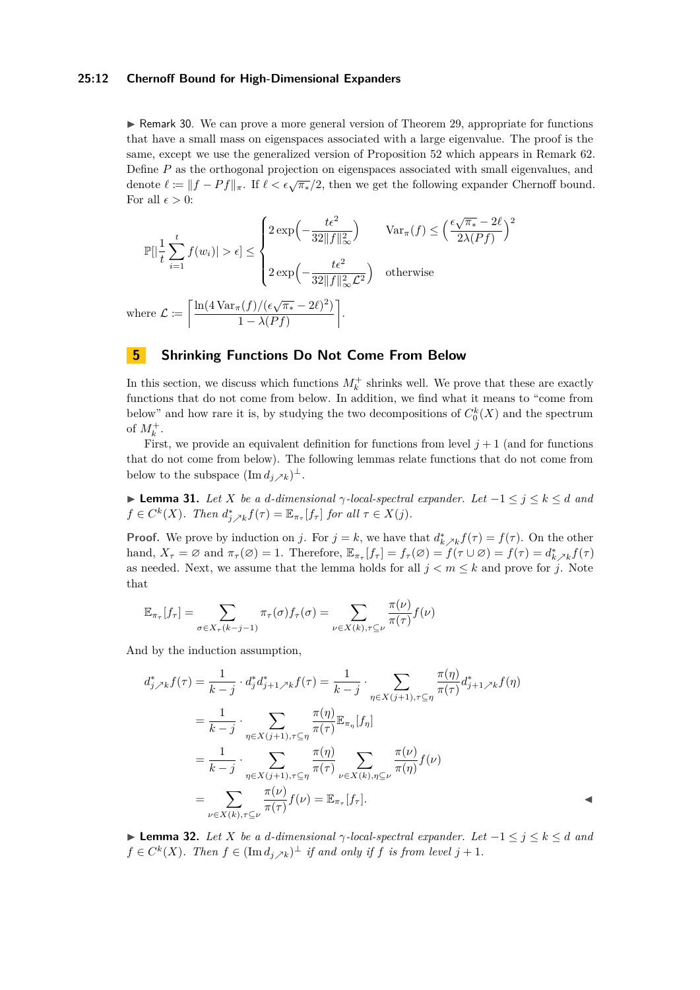#### **25:12 Chernoff Bound for High-Dimensional Expanders**

 $\triangleright$  Remark 30. We can prove a more general version of Theorem [29,](#page-10-0) appropriate for functions that have a small mass on eigenspaces associated with a large eigenvalue. The proof is the same, except we use the generalized version of Proposition [52](#page-18-0) which appears in Remark [62.](#page-20-0) Define *P* as the orthogonal projection on eigenspaces associated with small eigenvalues, and denote  $\ell := ||f - Pf||_{\pi}$ . If  $\ell < \epsilon \sqrt{\pi_*}/2$ , then we get the following expander Chernoff bound. For all  $\epsilon > 0$ :

$$
\mathbb{P}[\left|\frac{1}{t}\sum_{i=1}^{t}f(w_i)\right| > \epsilon] \leq \begin{cases} 2\exp\left(-\frac{t\epsilon^2}{32\|f\|_{\infty}^2}\right) & \text{Var}_{\pi}(f) \leq \left(\frac{\epsilon\sqrt{\pi_*} - 2\ell}{2\lambda(Pf)}\right)^2\\ 2\exp\left(-\frac{t\epsilon^2}{32\|f\|_{\infty}^2\mathcal{L}^2}\right) & \text{otherwise} \end{cases}
$$
  
here  $\mathcal{L} := \left[\frac{\ln(4\operatorname{Var}_{\pi}(f)/(\epsilon\sqrt{\pi_*} - 2\ell)^2)}{1 - \lambda(Pf)}\right].$ 

# <span id="page-11-0"></span>**5 Shrinking Functions Do Not Come From Below**

In this section, we discuss which functions  $M_k^+$  shrinks well. We prove that these are exactly functions that do not come from below. In addition, we find what it means to "come from below" and how rare it is, by studying the two decompositions of  $C_0^k(X)$  and the spectrum of  $M_k^+$ .

First, we provide an equivalent definition for functions from level  $j+1$  (and for functions that do not come from below). The following lemmas relate functions that do not come from below to the subspace  $(\text{Im } d_j \nearrow k)^\perp$ .

<span id="page-11-1"></span> $\blacktriangleright$  **Lemma 31.** *Let X be a d*-dimensional *γ*-local-spectral expander. Let  $-1 \leq j \leq k \leq d$  and  $f \in C^k(X)$ *. Then*  $d^*_{j \nearrow k} f(\tau) = \mathbb{E}_{\pi_{\tau}}[f_{\tau}]$  *for all*  $\tau \in X(j)$ *.* 

**Proof.** We prove by induction on *j*. For  $j = k$ , we have that  $d_{k,k}^* f(\tau) = f(\tau)$ . On the other hand,  $X_{\tau} = \varnothing$  and  $\pi_{\tau}(\varnothing) = 1$ . Therefore,  $\mathbb{E}_{\pi_{\tau}}[f_{\tau}] = f_{\tau}(\varnothing) = f(\tau \cup \varnothing) = f(\tau) = d^*_{k \nearrow k} f(\tau)$ as needed. Next, we assume that the lemma holds for all  $j < m \leq k$  and prove for *j*. Note that

$$
\mathbb{E}_{\pi_{\tau}}[f_{\tau}] = \sum_{\sigma \in X_{\tau}(k-j-1)} \pi_{\tau}(\sigma) f_{\tau}(\sigma) = \sum_{\nu \in X(k), \tau \subseteq \nu} \frac{\pi(\nu)}{\pi(\tau)} f(\nu)
$$

And by the induction assumption,

 $W$ 

$$
d_{j\nearrow k}^* f(\tau) = \frac{1}{k-j} \cdot d_j^* d_{j+1\nearrow k}^* f(\tau) = \frac{1}{k-j} \cdot \sum_{\eta \in X(j+1), \tau \subseteq \eta} \frac{\pi(\eta)}{\pi(\tau)} d_{j+1\nearrow k}^* f(\eta)
$$
  
\n
$$
= \frac{1}{k-j} \cdot \sum_{\eta \in X(j+1), \tau \subseteq \eta} \frac{\pi(\eta)}{\pi(\tau)} \mathbb{E}_{\pi_{\eta}}[f_{\eta}]
$$
  
\n
$$
= \frac{1}{k-j} \cdot \sum_{\eta \in X(j+1), \tau \subseteq \eta} \frac{\pi(\eta)}{\pi(\tau)} \sum_{\nu \in X(k), \eta \subseteq \nu} \frac{\pi(\nu)}{\pi(\eta)} f(\nu)
$$
  
\n
$$
= \sum_{\nu \in X(k), \tau \subseteq \nu} \frac{\pi(\nu)}{\pi(\tau)} f(\nu) = \mathbb{E}_{\pi_{\tau}}[f_{\tau}].
$$

<span id="page-11-2"></span> $▶$  **Lemma 32.** *Let X be a d*-dimensional  $γ$ -local-spectral expander. Let  $-1 ≤ j ≤ k ≤ d$  *and*  $f \in C^k(X)$ *. Then*  $f \in (\text{Im } d_{j \nearrow k})^{\perp}$  *if and only if f is from level*  $j + 1$ *.*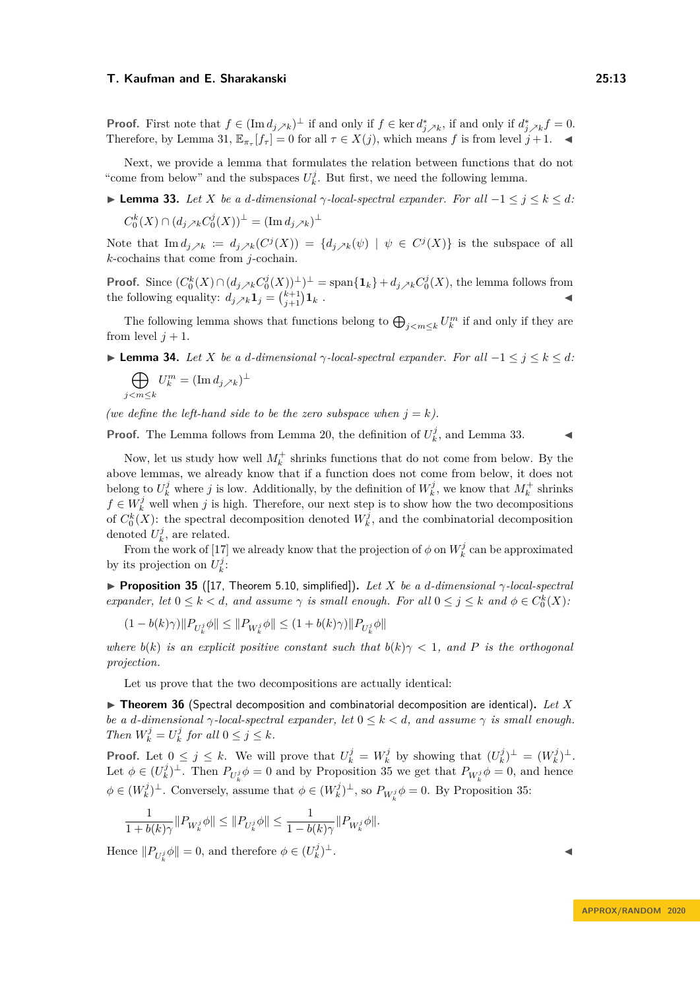**Proof.** First note that  $f \in (\text{Im } d_j \nearrow_k)^\perp$  if and only if  $f \in \text{ker } d_j^* \nearrow_k$ , if and only if  $d_j^* \nearrow_k f = 0$ . Therefore, by Lemma [31,](#page-11-1)  $\mathbb{E}_{\pi_{\tau}}[f_{\tau}] = 0$  for all  $\tau \in X(j)$ , which means f is from level  $j + 1$ .

Next, we provide a lemma that formulates the relation between functions that do not "come from below" and the subspaces  $U_k^j$ . But first, we need the following lemma.

<span id="page-12-1"></span> $\blacktriangleright$  **Lemma 33.** *Let X be a d*-dimensional  $\gamma$ -local-spectral expander. For all −1 ≤ *j* ≤ *k* ≤ *d*:

$$
C_0^k(X) \cap (d_j \nearrow_k C_0^j(X))^{\perp} = (\operatorname{Im} d_j \nearrow_k)^{\perp}
$$

Note that  $\text{Im } d_{j} \geq k := d_{j} \geq k(C^{j}(X)) = \{d_{j} \geq k(\psi) \mid \psi \in C^{j}(X)\}$  is the subspace of all *k*-cochains that come from *j*-cochain.

**Proof.** Since  $(C_0^k(X) \cap (d_j \times_k C_0^j(X))^{\perp})^{\perp}$  = span $\{\mathbf{1}_k\} + d_j \times_k C_0^j(X)$ , the lemma follows from the following equality:  $d_{j} \nearrow_k \mathbf{1}_j = \binom{k+1}{j+1} \mathbf{1}_k$ .

The following lemma shows that functions belong to  $\bigoplus_{j < m \leq k} U_k^m$  if and only if they are from level  $j + 1$ .

<span id="page-12-3"></span> $\blacktriangleright$  **Lemma 34.** *Let X be a d*-dimensional  $\gamma$ -local-spectral expander. For all −1 ≤ *j* ≤ *k* ≤ *d*:

$$
\bigoplus_{j
$$

*(we define the left-hand side to be the zero subspace when*  $j = k$ *).* 

**Proof.** The Lemma follows from Lemma [20,](#page-9-3) the definition of  $U_k^j$ , and Lemma [33.](#page-12-1)

Now, let us study how well  $M_k^+$  shrinks functions that do not come from below. By the above lemmas, we already know that if a function does not come from below, it does not belong to  $U_k^j$  where *j* is low. Additionally, by the definition of  $W_k^j$ , we know that  $M_k^+$  shrinks *f* ∈  $W_k^j$  well when *j* is high. Therefore, our next step is to show how the two decompositions of  $C_0^k(X)$ : the spectral decomposition denoted  $W_k^j$ , and the combinatorial decomposition denoted  $U_k^j$ , are related.

From the work of [\[17\]](#page-16-13) we already know that the projection of  $\phi$  on  $W_k^j$  can be approximated by its projection on  $U_k^j$ :

<span id="page-12-2"></span>**Proposition 35** ([\[17,](#page-16-13) Theorem 5.10, simplified]). Let *X* be a *d*-dimensional  $\gamma$ -local-spectral *expander, let*  $0 \leq k < d$ *, and assume*  $\gamma$  *is small enough. For all*  $0 \leq j \leq k$  *and*  $\phi \in C_0^k(X)$ *:* 

$$
(1-b(k)\gamma) \|P_{U_k^j} \phi\| \leq \|P_{W_k^j} \phi\| \leq (1+b(k)\gamma) \|P_{U_k^j} \phi\|
$$

*where*  $b(k)$  *is an explicit positive constant such that*  $b(k)\gamma < 1$ *, and P is the orthogonal projection.*

Let us prove that the two decompositions are actually identical:

<span id="page-12-0"></span>▶ Theorem 36 (Spectral decomposition and combinatorial decomposition are identical). Let X *be a d-dimensional*  $\gamma$ *-local-spectral expander, let*  $0 \leq k < d$ , and assume  $\gamma$  *is small enough. Then*  $W_k^j = U_k^j$  for all  $0 \le j \le k$ .

**Proof.** Let  $0 \leq j \leq k$ . We will prove that  $U_k^j = W_k^j$  by showing that  $(U_k^j)^{\perp} = (W_k^j)^{\perp}$ . Let  $\phi \in (U^j_k)^{\perp}$ . Then  $P_{U^j_k}\phi = 0$  and by Proposition [35](#page-12-2) we get that  $P_{W^j_k}\phi = 0$ , and hence  $\phi \in (W_k^j)^\perp$ . Conversely, assume that  $\phi \in (W_k^j)^\perp$ , so  $P_{W_k^j}\phi = 0$ . By Proposition [35:](#page-12-2)

$$
\frac{1}{1+b(k)\gamma}\|P_{W_k^j}\phi\| \le \|P_{U_k^j}\phi\| \le \frac{1}{1-b(k)\gamma}\|P_{W_k^j}\phi\|.
$$

Hence  $||P_{U_k^j}\phi|| = 0$ , and therefore  $\phi \in (U_k^j)$ <sup>⊥</sup>. J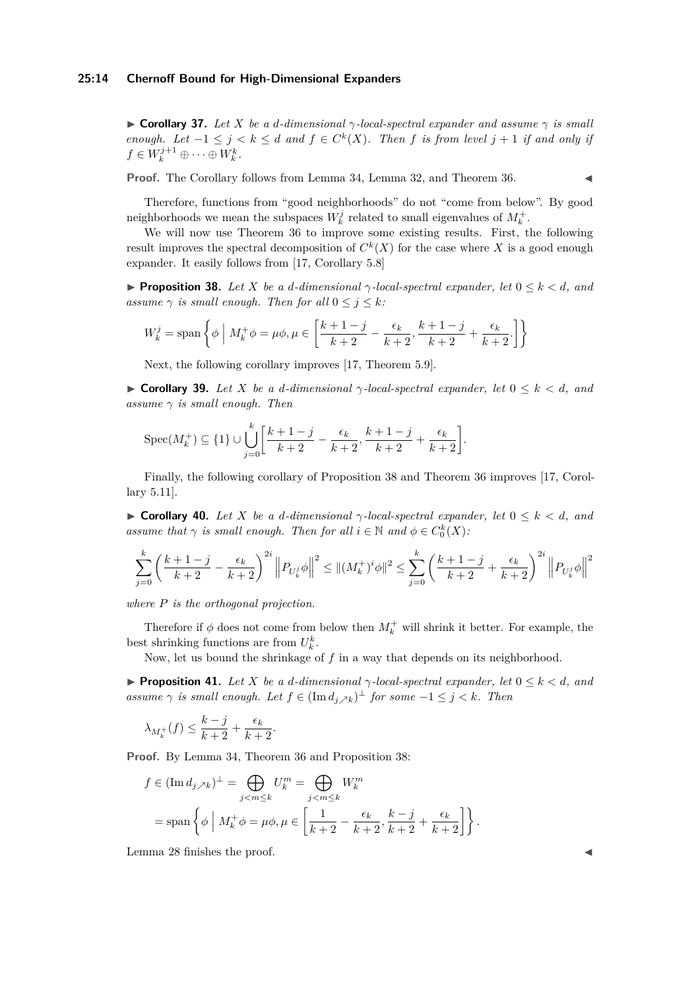#### **25:14 Chernoff Bound for High-Dimensional Expanders**

<span id="page-13-0"></span> $\triangleright$  **Corollary 37.** Let X be a *d*-dimensional  $\gamma$ -local-spectral expander and assume  $\gamma$  is small *enough.* Let  $-1 \leq j \leq k \leq d$  and  $f \in C^k(X)$ . Then f is from level  $j + 1$  if and only if  $f \in W_k^{j+1} \oplus \cdots \oplus W_k^k$ .

**Proof.** The Corollary follows from Lemma [34,](#page-12-3) Lemma [32,](#page-11-2) and Theorem [36.](#page-12-0)

Therefore, functions from "good neighborhoods" do not "come from below". By good neighborhoods we mean the subspaces  $W_k^j$  related to small eigenvalues of  $M_k^+$ .

We will now use Theorem [36](#page-12-0) to improve some existing results. First, the following result improves the spectral decomposition of  $C^k(X)$  for the case where X is a good enough expander. It easily follows from [\[17,](#page-16-13) Corollary 5.8]

<span id="page-13-4"></span>**Proposition 38.** Let *X* be a *d*-dimensional  $\gamma$ -local-spectral expander, let  $0 \leq k < d$ , and *assume*  $\gamma$  *is small enough. Then for all*  $0 \leq j \leq k$ *:* 

$$
W_k^j = \text{span}\left\{\phi \mid M_k^+ \phi = \mu \phi, \mu \in \left[\frac{k+1-j}{k+2} - \frac{\epsilon_k}{k+2}, \frac{k+1-j}{k+2} + \frac{\epsilon_k}{k+2}\right]\right\}
$$

Next, the following corollary improves [\[17,](#page-16-13) Theorem 5.9].

<span id="page-13-2"></span>**If Corollary 39.** Let X be a d-dimensional  $\gamma$ -local-spectral expander, let  $0 \leq k \leq d$ , and *assume γ is small enough. Then*

$$
\operatorname{Spec}(M_k^+) \subseteq \{1\} \cup \bigcup_{j=0}^k \left[\frac{k+1-j}{k+2} - \frac{\epsilon_k}{k+2}, \frac{k+1-j}{k+2} + \frac{\epsilon_k}{k+2}\right].
$$

Finally, the following corollary of Proposition [38](#page-13-4) and Theorem [36](#page-12-0) improves [\[17,](#page-16-13) Corollary 5.11].

<span id="page-13-3"></span>**If Corollary 40.** *Let X be a d*-dimensional  $\gamma$ -local-spectral expander, let  $0 \leq k < d$ , and *assume that*  $\gamma$  *is small enough. Then for all*  $i \in \mathbb{N}$  *and*  $\phi \in C_0^k(X)$ *:* 

$$
\sum_{j=0}^k \left(\frac{k+1-j}{k+2} - \frac{\epsilon_k}{k+2}\right)^{2i} \left\|P_{U_k^j}\phi\right\|^2 \leq \left\|(M_k^+)^i\phi\right\|^2 \leq \sum_{j=0}^k \left(\frac{k+1-j}{k+2} + \frac{\epsilon_k}{k+2}\right)^{2i} \left\|P_{U_k^j}\phi\right\|^2
$$

*where P is the orthogonal projection.*

Therefore if  $\phi$  does not come from below then  $M_k^+$  will shrink it better. For example, the best shrinking functions are from  $U_k^k$ .

Now, let us bound the shrinkage of *f* in a way that depends on its neighborhood.

<span id="page-13-1"></span>**Proposition 41.** Let *X* be a *d*-dimensional  $\gamma$ -local-spectral expander, let  $0 \leq k \leq d$ , and *assume*  $\gamma$  *is small enough. Let*  $f \in (\text{Im } d_j) \neq \emptyset$  *for some*  $-1 \leq j \leq k$ *. Then* 

$$
\lambda_{M_k^+}(f) \le \frac{k-j}{k+2} + \frac{\epsilon_k}{k+2}.
$$

**Proof.** By Lemma [34,](#page-12-3) Theorem [36](#page-12-0) and Proposition [38:](#page-13-4)

$$
f \in (\operatorname{Im} d_{j,k})^{\perp} = \bigoplus_{j < m \leq k} U_k^m = \bigoplus_{j < m \leq k} W_k^m
$$
  
= span  $\left\{ \phi \mid M_k^+ \phi = \mu \phi, \mu \in \left[ \frac{1}{k+2} - \frac{\epsilon_k}{k+2}, \frac{k-j}{k+2} + \frac{\epsilon_k}{k+2} \right] \right\}.$ 

Lemma [28](#page-10-5) finishes the proof.  $\blacksquare$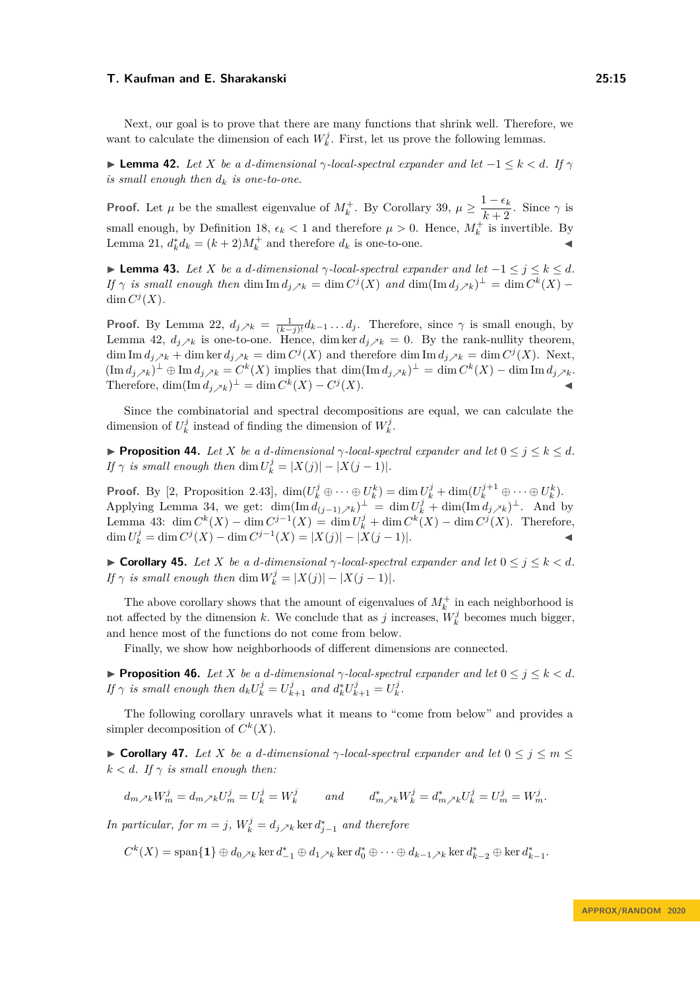Next, our goal is to prove that there are many functions that shrink well. Therefore, we want to calculate the dimension of each  $W_k^j$ . First, let us prove the following lemmas.

<span id="page-14-1"></span>**► Lemma 42.** Let *X* be a *d*-dimensional  $\gamma$ -local-spectral expander and let  $-1 \leq k \leq d$ . If  $\gamma$ *is small enough then*  $d_k$  *is one-to-one.* 

**Proof.** Let  $\mu$  be the smallest eigenvalue of  $M_k^+$ . By Corollary [39,](#page-13-2)  $\mu \geq \frac{1-\epsilon_k}{k+2}$  $\frac{1-\epsilon_k}{k+2}$ . Since  $\gamma$  is small enough, by Definition [18,](#page-8-3)  $\epsilon_k < 1$  and therefore  $\mu > 0$ . Hence,  $M_k^+$  is invertible. By Lemma [21,](#page-9-4)  $d_k^* d_k = (k+2)M_k^+$  and therefore  $d_k$  is one-to-one.

<span id="page-14-2"></span> $\blacktriangleright$  **Lemma 43.** *Let X be a d*-dimensional *γ*-local-spectral expander and let −1 ≤ *j* ≤ *k* ≤ *d*. *If*  $\gamma$  *is small enough then* dim  $\text{Im } d_j \nearrow_k = \dim C^j(X)$  *and*  $\dim(\text{Im } d_j \nearrow_k)^\perp = \dim C^k(X) - \frac{1}{2}$ dim  $C^j(X)$ .

**Proof.** By Lemma [22,](#page-9-5)  $d_{j} \nearrow k = \frac{1}{(k-j)!} d_{k-1} \dots d_j$ . Therefore, since  $\gamma$  is small enough, by Lemma [42,](#page-14-1)  $d_{j}$ <sub>k</sub> is one-to-one. Hence, dim ker  $d_{j}$ <sub>k</sub> = 0. By the rank-nullity theorem, dim Im  $d_{j} \ge k + \dim \ker d_{j} \ge k = \dim C^{j}(X)$  and therefore dim Im  $d_{j} \ge k = \dim C^{j}(X)$ . Next,  $(\text{Im } d_j)_k$ <sup> $\perp$ </sup>  $\oplus$  Im  $d_j$ <sub> $\nearrow$ </sub> $k$  =  $C^k(X)$  implies that  $\dim(\text{Im } d_j)_k$ <sup> $\perp$ </sup> =  $\dim C^k(X)$  –  $\dim \text{Im } d_j$ <sub>*/*<sup>k</sup></sub>. Therefore,  $\dim(\text{Im } d_j \times_k)^\perp = \dim C^k(X) - C^j$  $(X)$ .

Since the combinatorial and spectral decompositions are equal, we can calculate the dimension of  $U_k^j$  instead of finding the dimension of  $W_k^j$ .

**Proposition 44.** *Let X be a d-dimensional*  $\gamma$ *-local-spectral expander and let*  $0 \leq j \leq k \leq d$ *. If*  $\gamma$  *is small enough then* dim  $U_k^j = |X(j)| - |X(j-1)|$ *.* 

**Proof.** By [\[2,](#page-16-18) Proposition 2.43],  $\dim(U_k^j \oplus \cdots \oplus U_k^k) = \dim U_k^j + \dim(U_k^{j+1} \oplus \cdots \oplus U_k^k)$ . Applying Lemma [34,](#page-12-3) we get:  $\dim(\text{Im } d_{(j-1)/k})^{\perp} = \dim U_k^j + \dim(\text{Im } d_{j/k})^{\perp}$ . And by Lemma [43:](#page-14-2) dim  $C^k(X) - \dim C^{j-1}(X) = \dim U_k^j + \dim C^k(X) - \dim C^j(X)$ . Therefore, dim  $U_k^j$  = dim  $C^j(X)$  − dim  $C^{j-1}(X) = |X(j)| - |X(j-1)|$ .

<span id="page-14-0"></span> $\triangleright$  **Corollary 45.** *Let X be a d-dimensional* γ*-local-spectral expander and let*  $0 ≤ j ≤ k < d$ *. If*  $\gamma$  *is small enough then* dim  $W_k^j = |X(j)| - |X(j-1)|$ *.* 

The above corollary shows that the amount of eigenvalues of  $M_k^+$  in each neighborhood is not affected by the dimension *k*. We conclude that as *j* increases,  $W_k^j$  becomes much bigger, and hence most of the functions do not come from below.

Finally, we show how neighborhoods of different dimensions are connected.

**Proposition 46.** *Let X be a d-dimensional*  $\gamma$ -local-spectral expander and let  $0 \leq j \leq k < d$ . *If*  $\gamma$  *is small enough then*  $d_k U_k^j = U_{k+1}^j$  *and*  $d_k^* U_{k+1}^j = U_k^j$ .

The following corollary unravels what it means to "come from below" and provides a simpler decomposition of  $C^k(X)$ .

**Example 17.** *Let X be a d-dimensional*  $\gamma$ -local-spectral expander and let  $0 \leq j \leq m \leq$  $k < d$ *. If*  $\gamma$  *is small enough then:* 

$$
d_{m\nearrow k}W_m^j=d_{m\nearrow k}U_m^j=U_k^j=W_k^j\qquad and\qquad d_{m\nearrow k}^*W_k^j=d_{m\nearrow k}^*U_k^j=U_m^j=W_m^j.
$$

*In particular, for*  $m = j$ ,  $W_k^j = d_{j \nearrow k}$  ker  $d_{j-1}^*$  and therefore

 $C^{k}(X) = \text{span}\{\mathbf{1}\}\oplus d_{0}\right) \sim k \ker d_{-1}^{*} \oplus d_{1}\right) \sim k \ker d_{0}^{*} \oplus \cdots \oplus d_{k-1}\right) \sim k \ker d_{k-2}^{*} \oplus \ker d_{k-1}^{*}.$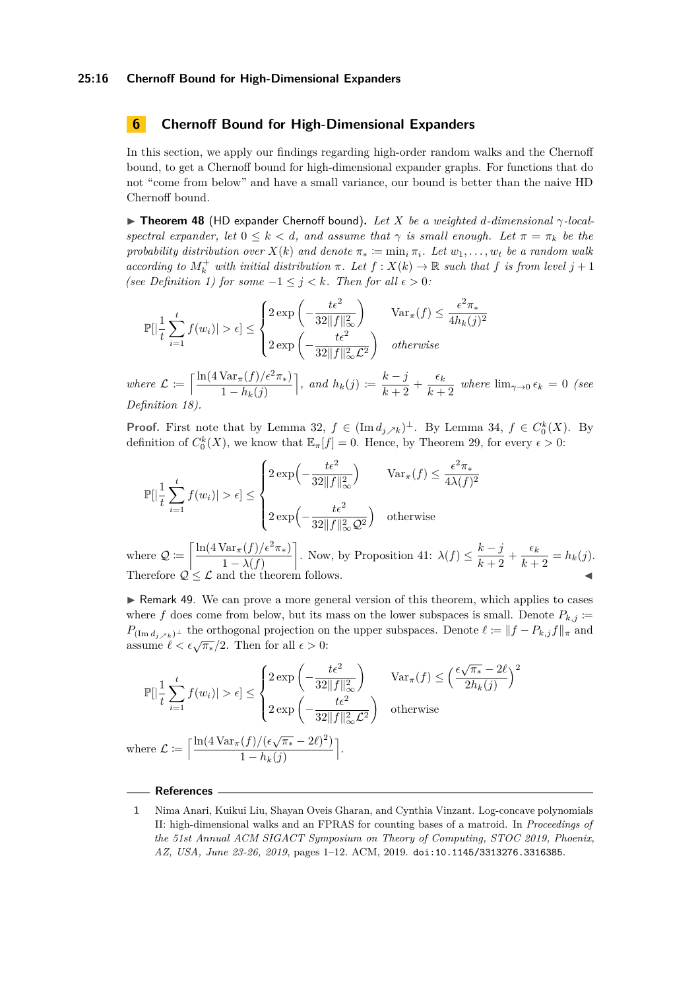#### **25:16 Chernoff Bound for High-Dimensional Expanders**

# <span id="page-15-3"></span>**6 Chernoff Bound for High-Dimensional Expanders**

In this section, we apply our findings regarding high-order random walks and the Chernoff bound, to get a Chernoff bound for high-dimensional expander graphs. For functions that do not "come from below" and have a small variance, our bound is better than the naive HD Chernoff bound.

<span id="page-15-1"></span>I **Theorem 48** (HD expander Chernoff bound)**.** *Let X be a weighted d-dimensional γ-localspectral expander, let*  $0 \leq k < d$ *, and assume that*  $\gamma$  *is small enough. Let*  $\pi = \pi_k$  *be the probability distribution over*  $X(k)$  *and denote*  $\pi_* := \min_i \pi_i$ *. Let*  $w_1, \ldots, w_t$  *be a random walk according to*  $M_k^+$  *with initial distribution*  $\pi$ *. Let*  $f : X(k) \to \mathbb{R}$  *such that*  $f$  *is from level*  $j + 1$ *(see Definition [1\)](#page-2-0) for some*  $-1 \leq j \leq k$ *. Then for all*  $\epsilon > 0$ *:* 

$$
\mathbb{P}[\left|\frac{1}{t}\sum_{i=1}^t f(w_i)\right| > \epsilon] \le \begin{cases} 2\exp\left(-\frac{t\epsilon^2}{32\|f\|_{\infty}^2}\right) & \text{Var}_{\pi}(f) \le \frac{\epsilon^2 \pi_*}{4h_k(j)^2} \\ 2\exp\left(-\frac{t\epsilon^2}{32\|f\|_{\infty}^2 \mathcal{L}^2}\right) & otherwise \end{cases}
$$

*where*  $\mathcal{L} := \left[ \frac{\ln(4 \operatorname{Var}_{\pi}(f)/\epsilon^2 \pi_*)}{1 - \ln(1/\epsilon^2)} \right]$  $1 - h_k(j)$  $\bigg|$ *, and*  $h_k(j) \coloneqq \frac{k-j}{k+2}$  $\frac{k-j}{k+2}$  +  $\frac{\epsilon_k}{k+2}$  $\frac{c_k}{k+2}$  where  $\lim_{\gamma \to 0} \epsilon_k = 0$  (see *Definition [18\)](#page-8-3).*

**Proof.** First note that by Lemma [32,](#page-11-2)  $f \in (\text{Im } d_j \nearrow_k)^\perp$ . By Lemma [34,](#page-12-3)  $f \in C_0^k(X)$ . By definition of  $C_0^k(X)$ , we know that  $\mathbb{E}_{\pi}[f] = 0$ . Hence, by Theorem [29,](#page-10-0) for every  $\epsilon > 0$ :

$$
\mathbb{P}[|\frac{1}{t}\sum_{i=1}^{t}f(w_i)| > \epsilon] \leq \begin{cases} 2\exp\left(-\frac{t\epsilon^2}{32\|f\|_{\infty}^2}\right) & \operatorname{Var}_{\pi}(f) \leq \frac{\epsilon^2\pi_*}{4\lambda(f)^2} \\ 2\exp\left(-\frac{t\epsilon^2}{32\|f\|_{\infty}^2Q^2}\right) & \text{otherwise} \end{cases}
$$

where  $Q := \left[ \frac{\ln(4 \operatorname{Var}_{\pi}(f)/\epsilon^2 \pi_*)}{1 \cdot 2 \cdot 2 \cdot 2 \cdot 2} \right]$  $1 - \lambda(f)$ . Now, by Proposition [41:](#page-13-1)  $\lambda(f) \leq \frac{k-j}{k-j}$  $\frac{k-j}{k+2} + \frac{\epsilon_k}{k+2}$  $\frac{c_k}{k+2} = h_k(j).$ Therefore  $\mathcal{Q} \leq \mathcal{L}$  and the theorem follows.

<span id="page-15-2"></span> $\triangleright$  Remark 49. We can prove a more general version of this theorem, which applies to cases where *f* does come from below, but its mass on the lower subspaces is small. Denote  $P_{k,j}$  := *P*<sub>(Im *d*<sub>*j*</sub>  $\wedge$ *k*)<sup>⊥</sup> the orthogonal projection on the upper subspaces. Denote  $\ell := ||f - P_{k,j}f||_{\pi}$  and</sub>  $\lim_{\epsilon \to 0} a_{j \ge k}$  are orthogonal projection on<br>assume  $\ell < \epsilon \sqrt{\pi_*}/2$ . Then for all  $\epsilon > 0$ :

$$
\mathbb{P}\left[\left|\frac{1}{t}\sum_{i=1}^{t}f(w_i)\right|>\epsilon\right] \leq \begin{cases} 2\exp\left(-\frac{t\epsilon^2}{32\|f\|_{\infty}^2}\right) & \operatorname{Var}_{\pi}(f) \leq \left(\frac{\epsilon\sqrt{\pi_*}-2\ell}{2h_k(j)}\right)^2\\ 2\exp\left(-\frac{t\epsilon^2}{32\|f\|_{\infty}^2\mathcal{L}^2}\right) & \text{otherwise} \end{cases}
$$
  
where  $\mathcal{L} := \left[\frac{\ln(4\operatorname{Var}_{\pi}(f)/(\epsilon\sqrt{\pi_*}-2\ell)^2)}{\ln(4\pi\|f\|_{\infty}^2\|f\|_{\infty}^2\|f\|_{\infty}^2}\right]$ .

m .

 $1 - h_k(j)$ 

## **References**

<span id="page-15-0"></span>**<sup>1</sup>** Nima Anari, Kuikui Liu, Shayan Oveis Gharan, and Cynthia Vinzant. Log-concave polynomials II: high-dimensional walks and an FPRAS for counting bases of a matroid. In *Proceedings of the 51st Annual ACM SIGACT Symposium on Theory of Computing, STOC 2019, Phoenix, AZ, USA, June 23-26, 2019*, pages 1–12. ACM, 2019. [doi:10.1145/3313276.3316385](https://doi.org/10.1145/3313276.3316385).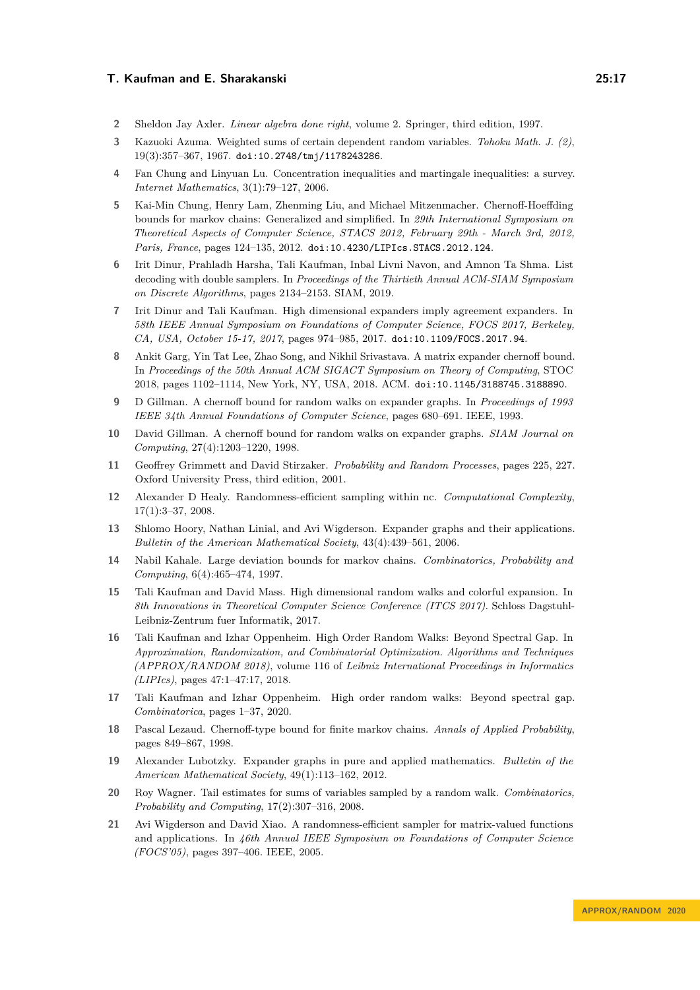- <span id="page-16-18"></span>**2** Sheldon Jay Axler. *Linear algebra done right*, volume 2. Springer, third edition, 1997.
- <span id="page-16-19"></span>**3** Kazuoki Azuma. Weighted sums of certain dependent random variables. *Tohoku Math. J. (2)*, 19(3):357–367, 1967. [doi:10.2748/tmj/1178243286](https://doi.org/10.2748/tmj/1178243286).
- <span id="page-16-15"></span>**4** Fan Chung and Linyuan Lu. Concentration inequalities and martingale inequalities: a survey. *Internet Mathematics*, 3(1):79–127, 2006.
- <span id="page-16-11"></span>**5** Kai-Min Chung, Henry Lam, Zhenming Liu, and Michael Mitzenmacher. Chernoff-Hoeffding bounds for markov chains: Generalized and simplified. In *29th International Symposium on Theoretical Aspects of Computer Science, STACS 2012, February 29th - March 3rd, 2012, Paris, France*, pages 124–135, 2012. [doi:10.4230/LIPIcs.STACS.2012.124](https://doi.org/10.4230/LIPIcs.STACS.2012.124).
- <span id="page-16-17"></span>**6** Irit Dinur, Prahladh Harsha, Tali Kaufman, Inbal Livni Navon, and Amnon Ta Shma. List decoding with double samplers. In *Proceedings of the Thirtieth Annual ACM-SIAM Symposium on Discrete Algorithms*, pages 2134–2153. SIAM, 2019.
- <span id="page-16-12"></span>**7** Irit Dinur and Tali Kaufman. High dimensional expanders imply agreement expanders. In *58th IEEE Annual Symposium on Foundations of Computer Science, FOCS 2017, Berkeley, CA, USA, October 15-17, 2017*, pages 974–985, 2017. [doi:10.1109/FOCS.2017.94](https://doi.org/10.1109/FOCS.2017.94).
- <span id="page-16-14"></span>**8** Ankit Garg, Yin Tat Lee, Zhao Song, and Nikhil Srivastava. A matrix expander chernoff bound. In *Proceedings of the 50th Annual ACM SIGACT Symposium on Theory of Computing*, STOC 2018, pages 1102–1114, New York, NY, USA, 2018. ACM. [doi:10.1145/3188745.3188890](https://doi.org/10.1145/3188745.3188890).
- <span id="page-16-0"></span>**9** D Gillman. A chernoff bound for random walks on expander graphs. In *Proceedings of 1993 IEEE 34th Annual Foundations of Computer Science*, pages 680–691. IEEE, 1993.
- <span id="page-16-5"></span>**10** David Gillman. A chernoff bound for random walks on expander graphs. *SIAM Journal on Computing*, 27(4):1203–1220, 1998.
- <span id="page-16-16"></span>**11** Geoffrey Grimmett and David Stirzaker. *Probability and Random Processes*, pages 225, 227. Oxford University Press, third edition, 2001.
- <span id="page-16-9"></span>**12** Alexander D Healy. Randomness-efficient sampling within nc. *Computational Complexity*, 17(1):3–37, 2008.
- <span id="page-16-1"></span>**13** Shlomo Hoory, Nathan Linial, and Avi Wigderson. Expander graphs and their applications. *Bulletin of the American Mathematical Society*, 43(4):439–561, 2006.
- <span id="page-16-6"></span>**14** Nabil Kahale. Large deviation bounds for markov chains. *Combinatorics, Probability and Computing*, 6(4):465–474, 1997.
- <span id="page-16-4"></span>**15** Tali Kaufman and David Mass. High dimensional random walks and colorful expansion. In *8th Innovations in Theoretical Computer Science Conference (ITCS 2017)*. Schloss Dagstuhl-Leibniz-Zentrum fuer Informatik, 2017.
- <span id="page-16-3"></span>**16** Tali Kaufman and Izhar Oppenheim. High Order Random Walks: Beyond Spectral Gap. In *Approximation, Randomization, and Combinatorial Optimization. Algorithms and Techniques (APPROX/RANDOM 2018)*, volume 116 of *Leibniz International Proceedings in Informatics (LIPIcs)*, pages 47:1–47:17, 2018.
- <span id="page-16-13"></span>**17** Tali Kaufman and Izhar Oppenheim. High order random walks: Beyond spectral gap. *Combinatorica*, pages 1–37, 2020.
- <span id="page-16-7"></span>**18** Pascal Lezaud. Chernoff-type bound for finite markov chains. *Annals of Applied Probability*, pages 849–867, 1998.
- <span id="page-16-2"></span>**19** Alexander Lubotzky. Expander graphs in pure and applied mathematics. *Bulletin of the American Mathematical Society*, 49(1):113–162, 2012.
- <span id="page-16-10"></span>**20** Roy Wagner. Tail estimates for sums of variables sampled by a random walk. *Combinatorics, Probability and Computing*, 17(2):307–316, 2008.
- <span id="page-16-8"></span>**21** Avi Wigderson and David Xiao. A randomness-efficient sampler for matrix-valued functions and applications. In *46th Annual IEEE Symposium on Foundations of Computer Science (FOCS'05)*, pages 397–406. IEEE, 2005.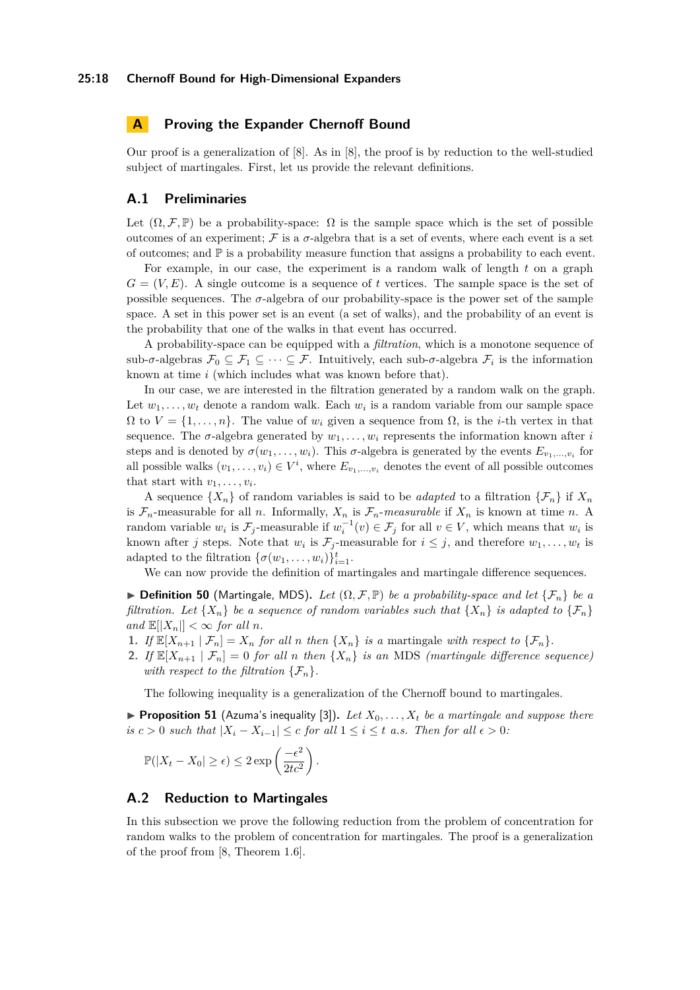# <span id="page-17-1"></span>**A Proving the Expander Chernoff Bound**

Our proof is a generalization of [\[8\]](#page-16-14). As in [\[8\]](#page-16-14), the proof is by reduction to the well-studied subject of martingales. First, let us provide the relevant definitions.

# **A.1 Preliminaries**

Let  $(\Omega, \mathcal{F}, \mathbb{P})$  be a probability-space:  $\Omega$  is the sample space which is the set of possible outcomes of an experiment;  $\mathcal F$  is a  $\sigma$ -algebra that is a set of events, where each event is a set of outcomes; and  $\mathbb P$  is a probability measure function that assigns a probability to each event.

For example, in our case, the experiment is a random walk of length *t* on a graph  $G = (V, E)$ . A single outcome is a sequence of *t* vertices. The sample space is the set of possible sequences. The  $\sigma$ -algebra of our probability-space is the power set of the sample space. A set in this power set is an event (a set of walks), and the probability of an event is the probability that one of the walks in that event has occurred.

A probability-space can be equipped with a *filtration*, which is a monotone sequence of sub- $\sigma$ -algebras  $\mathcal{F}_0 \subseteq \mathcal{F}_1 \subseteq \cdots \subseteq \mathcal{F}$ . Intuitively, each sub- $\sigma$ -algebra  $\mathcal{F}_i$  is the information known at time *i* (which includes what was known before that).

In our case, we are interested in the filtration generated by a random walk on the graph. Let  $w_1, \ldots, w_t$  denote a random walk. Each  $w_i$  is a random variable from our sample space  $\Omega$  to  $V = \{1, \ldots, n\}$ . The value of  $w_i$  given a sequence from  $\Omega$ , is the *i*-th vertex in that sequence. The  $\sigma$ -algebra generated by  $w_1, \ldots, w_i$  represents the information known after *i* steps and is denoted by  $\sigma(w_1, \ldots, w_i)$ . This  $\sigma$ -algebra is generated by the events  $E_{v_1, \ldots, v_i}$  for all possible walks  $(v_1, \ldots, v_i) \in V^i$ , where  $E_{v_1, \ldots, v_i}$  denotes the event of all possible outcomes that start with  $v_1, \ldots, v_i$ .

A sequence  $\{X_n\}$  of random variables is said to be *adapted* to a filtration  $\{\mathcal{F}_n\}$  if  $X_n$ is  $\mathcal{F}_n$ -measurable for all *n*. Informally,  $X_n$  is  $\mathcal{F}_n$ -measurable if  $X_n$  is known at time *n*. A random variable  $w_i$  is  $\mathcal{F}_j$ -measurable if  $w_i^{-1}(v) \in \mathcal{F}_j$  for all  $v \in V$ , which means that  $w_i$  is known after *j* steps. Note that  $w_i$  is  $\mathcal{F}_j$ -measurable for  $i \leq j$ , and therefore  $w_1, \ldots, w_t$  is adapted to the filtration  $\{\sigma(w_1, \ldots, w_i)\}_{i=1}^t$ .

We can now provide the definition of martingales and martingale difference sequences.

<span id="page-17-2"></span> $▶$  **Definition 50** (Martingale, MDS). Let  $(Ω, F, ℤ)$  be a probability-space and let  ${F_n}$  be a *filtration.* Let  $\{X_n\}$  be a sequence of random variables such that  $\{X_n\}$  *is adapted to*  $\{\mathcal{F}_n\}$  $and \mathbb{E}[|X_n|] < \infty$  *for all n.* 

- **1.** *If*  $\mathbb{E}[X_{n+1} | \mathcal{F}_n] = X_n$  *for all n then*  $\{X_n\}$  *is a* martingale *with respect to*  $\{\mathcal{F}_n\}$ *.*
- **2.** *If*  $\mathbb{E}[X_{n+1} | \mathcal{F}_n] = 0$  *for all n then*  $\{X_n\}$  *is an* MDS *(martingale difference sequence) with respect to the filtration*  $\{\mathcal{F}_n\}$ .

The following inequality is a generalization of the Chernoff bound to martingales.

<span id="page-17-0"></span>**Proposition 51** (Azuma's inequality [\[3\]](#page-16-19)). Let  $X_0, \ldots, X_t$  be a martingale and suppose there *is*  $c > 0$  *such that*  $|X_i - X_{i-1}| \leq c$  *for all*  $1 \leq i \leq t$  *a.s. Then for all*  $\epsilon > 0$ *:* 

$$
\mathbb{P}(|X_t - X_0| \ge \epsilon) \le 2 \exp\left(\frac{-\epsilon^2}{2tc^2}\right).
$$

# **A.2 Reduction to Martingales**

In this subsection we prove the following reduction from the problem of concentration for random walks to the problem of concentration for martingales. The proof is a generalization of the proof from [\[8,](#page-16-14) Theorem 1.6].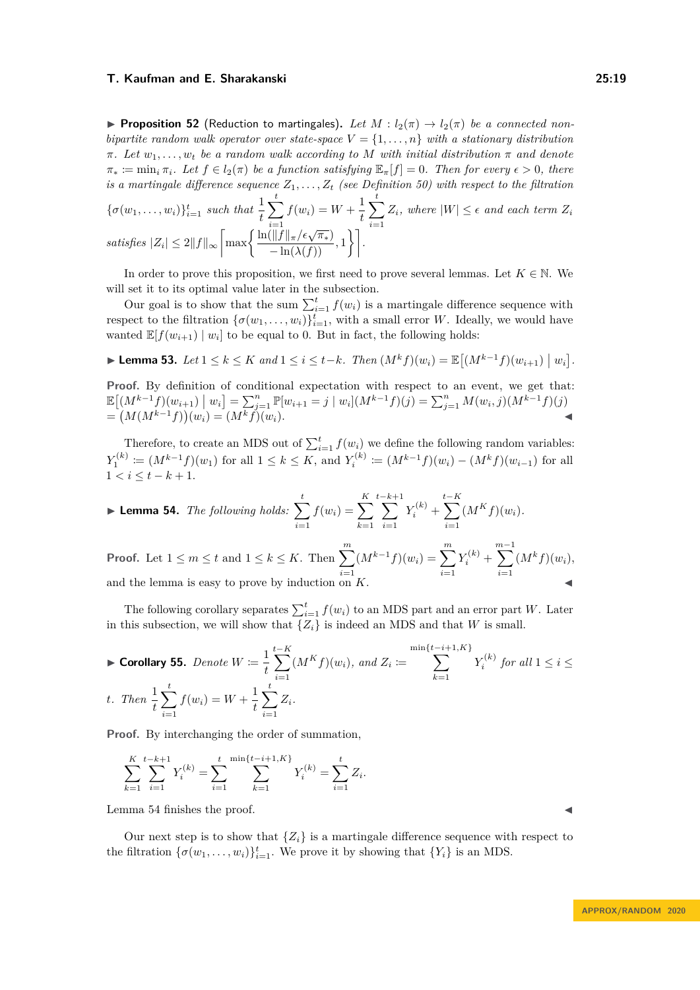<span id="page-18-0"></span>**Proposition 52** (Reduction to martingales). Let  $M: l_2(\pi) \to l_2(\pi)$  be a connected non*bipartite random walk operator over state-space*  $V = \{1, \ldots, n\}$  *with a stationary distribution*  $\pi$ *. Let*  $w_1, \ldots, w_t$  *be a random walk according to M with initial distribution*  $\pi$  *and denote*  $\pi_* := \min_i \pi_i$ *. Let*  $f \in l_2(\pi)$  *be a function satisfying*  $\mathbb{E}_{\pi}[f] = 0$ *. Then for every*  $\epsilon > 0$ *, there is a martingale difference sequence*  $Z_1, \ldots, Z_t$  *(see Definition [50\)](#page-17-2)* with respect to the filtration

$$
\{\sigma(w_1, \ldots, w_i)\}_{i=1}^t \text{ such that } \frac{1}{t} \sum_{i=1}^t f(w_i) = W + \frac{1}{t} \sum_{i=1}^t Z_i, \text{ where } |W| \le \epsilon \text{ and each term } Z_i
$$
  
satisfies  $|Z_i| \le 2||f||_{\infty} \left[ \max \left\{ \frac{\ln(||f||_{\pi}/\epsilon\sqrt{\pi_*})}{-\ln(\lambda(f))}, 1 \right\} \right].$ 

In order to prove this proposition, we first need to prove several lemmas. Let  $K \in \mathbb{N}$ . We will set it to its optimal value later in the subsection.

Our goal is to show that the sum  $\sum_{i=1}^{t} f(w_i)$  is a martingale difference sequence with respect to the filtration  $\{\sigma(w_1, \ldots, w_i)\}_{i=1}^t$ , with a small error *W*. Ideally, we would have wanted  $\mathbb{E}[f(w_{i+1}) | w_i]$  to be equal to 0. But in fact, the following holds:

<span id="page-18-2"></span>► Lemma 53. Let  $1 \le k \le K$  and  $1 \le i \le t-k$ . Then  $(M^k f)(w_i) = \mathbb{E}[(M^{k-1} f)(w_{i+1}) | w_i]$ .

Proof. By definition of conditional expectation with respect to an event, we get that:  $\mathbb{E}\left[\left(M^{k-1}f\right)(w_{i+1})\big|w_i\right] = \sum_{j=1}^n \mathbb{P}[w_{i+1} = j \mid w_i](M^{k-1}f)(j) = \sum_{j=1}^n M(w_i,j)(M^{k-1}f)(j)$  $= (M(M^{k-1}f))(w_i) = (M^k f)(w_i).$  **←** 

Therefore, to create an MDS out of  $\sum_{i=1}^{t} f(w_i)$  we define the following random variables:  $Y_1^{(k)} := (M^{k-1}f)(w_1)$  for all  $1 \leq k \leq K$ , and  $Y_i^{(k)} := (M^{k-1}f)(w_i) - (M^k f)(w_{i-1})$  for all  $1 < i \leq t - k + 1.$ 

<span id="page-18-1"></span>
$$
\blacktriangleright \textbf{Lemma 54.} \ \textit{The following holds:} \ \sum_{i=1}^{t} f(w_i) = \sum_{k=1}^{K} \sum_{i=1}^{t-k+1} Y_i^{(k)} + \sum_{i=1}^{t-K} (M^K f)(w_i).
$$
\n
$$
\textbf{Proof. Let } 1 \le m \le t \text{ and } 1 \le k \le K. \text{ Then } \sum_{i=1}^{m} (M^{k-1} f)(w_i) = \sum_{i=1}^{m} Y_i^{(k)} + \sum_{i=1}^{m-1} (M^k f)(w_i),
$$

and the lemma is easy to prove by induction on  $K$ .

The following corollary separates  $\sum_{i=1}^{t} f(w_i)$  to an MDS part and an error part *W*. Later in this subsection, we will show that  $\{Z_i\}$  is indeed an MDS and that *W* is small.

<span id="page-18-3"></span>
$$
\text{Forollary 55. Denote } W := \frac{1}{t} \sum_{i=1}^{t-K} (M^K f)(w_i), \text{ and } Z_i := \sum_{k=1}^{\min\{t-i+1, K\}} Y_i^{(k)} \text{ for all } 1 \le i \le t.
$$
\n
$$
\text{Then } \frac{1}{t} \sum_{i=1}^t f(w_i) = W + \frac{1}{t} \sum_{i=1}^t Z_i.
$$

**Proof.** By interchanging the order of summation,

$$
\sum_{k=1}^{K} \sum_{i=1}^{t-k+1} Y_i^{(k)} = \sum_{i=1}^{t} \sum_{k=1}^{\min\{t-i+1, K\}} Y_i^{(k)} = \sum_{i=1}^{t} Z_i.
$$

Lemma [54](#page-18-1) finishes the proof.

Our next step is to show that  $\{Z_i\}$  is a martingale difference sequence with respect to the filtration  $\{\sigma(w_1, \ldots, w_i)\}_{i=1}^t$ . We prove it by showing that  $\{Y_i\}$  is an MDS.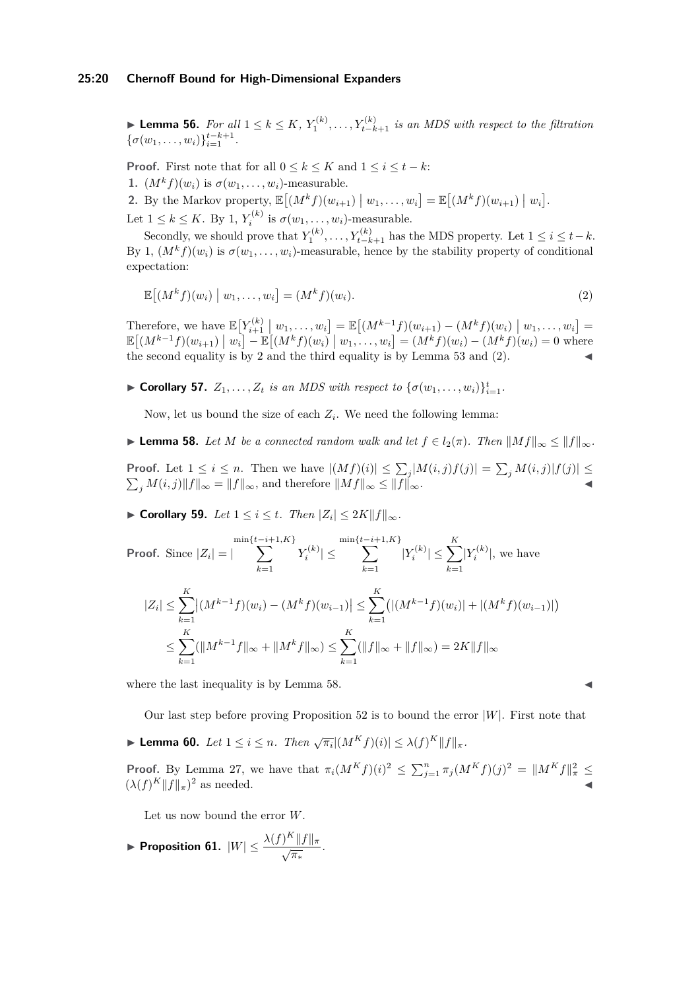#### **25:20 Chernoff Bound for High-Dimensional Expanders**

► **Lemma 56.** *For all*  $1 \leq k \leq K$ ,  $Y_1^{(k)}$ , ...,  $Y_{t-k+1}^{(k)}$  *is an MDS with respect to the filtration*  $\{\sigma(w_1,\ldots,w_i)\}_{i=1}^{t-k+1}$ .

**Proof.** First note that for all  $0 \leq k \leq K$  and  $1 \leq i \leq t - k$ :

<span id="page-19-0"></span>**1.**  $(M^k f)(w_i)$  is  $\sigma(w_1, \ldots, w_i)$ -measurable.

<span id="page-19-1"></span>**2.** By the Markov property,  $\mathbb{E}[(M^k f)(w_{i+1}) | w_1, \ldots, w_i] = \mathbb{E}[(M^k f)(w_{i+1}) | w_i].$ Let  $1 \leq k \leq K$ . By [1,](#page-19-0)  $Y_i^{(k)}$  is  $\sigma(w_1, \ldots, w_i)$ -measurable.

Secondly, we should prove that  $Y_1^{(k)}, \ldots, Y_{t-k+1}^{(k)}$  has the MDS property. Let  $1 \leq i \leq t-k$ . By [1,](#page-19-0)  $(M<sup>k</sup>f)(w<sub>i</sub>)$  is  $\sigma(w_1, \ldots, w_i)$ -measurable, hence by the stability property of conditional expectation:

<span id="page-19-2"></span>
$$
\mathbb{E}\left[(M^k f)(w_i) \mid w_1, \dots, w_i\right] = (M^k f)(w_i). \tag{2}
$$

Therefore, we have  $\mathbb{E}[Y_{i+1}^{(k)} | w_1, \dots, w_i] = \mathbb{E}[(M^{k-1}f)(w_{i+1}) - (M^k f)(w_i) | w_1, \dots, w_i] =$  $\mathbb{E}[(M^{k-1}f)(w_{i+1}) | w_i] - \mathbb{E}[(M^k f)(w_i) | w_1, ..., w_i] = (M^k f)(w_i) - (M^k f)(w_i) = 0$  where the second equality is by [2](#page-19-1) and the third equality is by Lemma  $53$  and  $(2)$ .

<span id="page-19-6"></span>► Corollary 57.  $Z_1, \ldots, Z_t$  *is an MDS with respect to*  $\{\sigma(w_1, \ldots, w_i)\}_{i=1}^t$ .

Now, let us bound the size of each  $Z_i$ . We need the following lemma:

<span id="page-19-3"></span>► **Lemma 58.** Let *M* be a connected random walk and let  $f \in l_2(\pi)$ . Then  $||Mf||_{\infty} \leq ||f||_{\infty}$ .

**Proof.** Let  $1 \leq i \leq n$ . Then we have  $|(Mf)(i)| \leq \sum_j |M(i,j)f(j)| = \sum_j M(i,j)|f(j)| \leq$  $\sum_{j} M(i, j) \|f\|_{\infty} = \|f\|_{\infty}$ , and therefore  $\|Mf\|_{\infty} \le \|f\|_{\infty}$ .

<span id="page-19-7"></span>▶ **Corollary 59.** *Let*  $1 \leq i \leq t$ *. Then*  $|Z_i| \leq 2K||f||_{\infty}$ *.* 

Proof. Since 
$$
|Z_i| = |\sum_{k=1}^{\min\{t-i+1, K\}} Y_i^{(k)}| \le \sum_{k=1}^{\min\{t-i+1, K\}} |Y_i^{(k)}| \le \sum_{k=1}^K |Y_i^{(k)}|
$$
, we have  
\n
$$
|Z_i| \le \sum_{k=1}^K |(M^{k-1}f)(w_i) - (M^k f)(w_{i-1})| \le \sum_{k=1}^K (|(M^{k-1}f)(w_i)| + |(M^k f)(w_{i-1})|)
$$
\n
$$
\le \sum_{k=1}^K (||M^{k-1}f||_{\infty} + ||M^k f||_{\infty}) \le \sum_{k=1}^K (||f||_{\infty} + ||f||_{\infty}) = 2K ||f||_{\infty}
$$

where the last inequality is by Lemma [58.](#page-19-3)

Our last step before proving Proposition [52](#page-18-0) is to bound the error  $|W|$ . First note that

<span id="page-19-4"></span>► **Lemma 60.** *Let*  $1 \leq i \leq n$ *. Then*  $\sqrt{\pi_i} |(M^K f)(i)| \leq \lambda(f)^K ||f||_{\pi}$ *.* 

**Proof.** By Lemma [27,](#page-10-6) we have that  $\pi_i(M^Kf)(i)^2 \leq \sum_{j=1}^n \pi_j(M^Kf)(j)^2 = ||M^Kf||^2_{\pi} \leq$  $(\lambda(f)^K \|f\|_{\pi})$  $\frac{2}{3}$  as needed.

Let us now bound the error *W*.

<span id="page-19-5"></span>**Proposition 61.**  $|W| \leq \frac{\lambda(f)^K \|f\|_{\pi}}{\sqrt{\pi_*}}$ .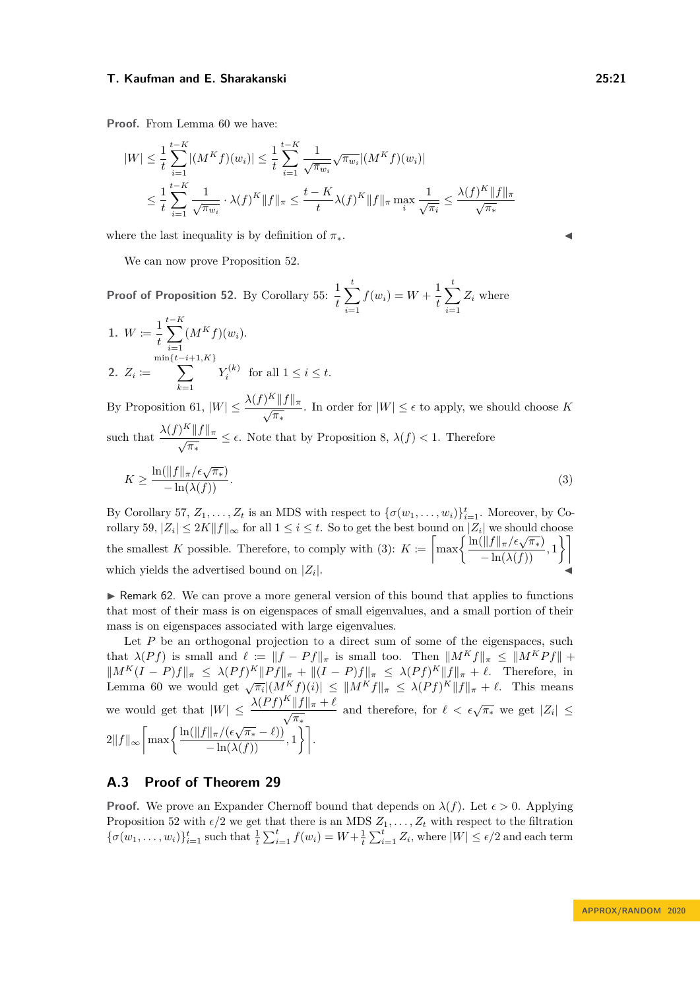**Proof.** From Lemma [60](#page-19-4) we have:

$$
|W| \leq \frac{1}{t} \sum_{i=1}^{t-K} |(M^K f)(w_i)| \leq \frac{1}{t} \sum_{i=1}^{t-K} \frac{1}{\sqrt{\pi_{w_i}}} \sqrt{\pi_{w_i}} |(M^K f)(w_i)|
$$
  

$$
\leq \frac{1}{t} \sum_{i=1}^{t-K} \frac{1}{\sqrt{\pi_{w_i}}} \cdot \lambda(f)^K \|f\|_{\pi} \leq \frac{t-K}{t} \lambda(f)^K \|f\|_{\pi} \max_{i} \frac{1}{\sqrt{\pi_i}} \leq \frac{\lambda(f)^K \|f\|_{\pi}}{\sqrt{\pi_*}}
$$

where the last inequality is by definition of  $\pi_*$ .

We can now prove Proposition [52.](#page-18-0)

**Proof of Proposition [52.](#page-18-0)** By Corollary [55:](#page-18-3)  $\frac{1}{t}$  $\sum_{ }^{t}$ *i*=1  $f(w_i) = W + \frac{1}{4}$ *t*  $\sum_{i=1}^{t}$ *i*=1 *Z<sup>i</sup>* where

1. 
$$
W := \frac{1}{t} \sum_{i=1}^{t-K} (M^K f)(w_i).
$$
  
\n2.  $Z_i := \sum_{k=1}^{\min\{t-i+1,K\}} Y_i^{(k)}$  for all  $1 \le i \le t$ .

By Proposition [61,](#page-19-5)  $|W| \leq \frac{\lambda(f)^K ||f||_{\pi}}{\sqrt{\pi_*}}$ . In order for  $|W| \leq \epsilon$  to apply, we should choose *K* such that  $\frac{\lambda(f)^K \|f\|_{\pi}}{\sqrt{\pi_*}} \leq \epsilon$ . Note that by Proposition [8,](#page-7-2)  $\lambda(f) < 1$ . Therefore

<span id="page-20-1"></span>
$$
K \ge \frac{\ln(\|f\|_{\pi}/\epsilon\sqrt{\pi_*})}{-\ln(\lambda(f))}.\tag{3}
$$

By Corollary [57,](#page-19-6)  $Z_1, \ldots, Z_t$  is an MDS with respect to  $\{\sigma(w_1, \ldots, w_i)\}_{i=1}^t$ . Moreover, by Co-rollary [59,](#page-19-7)  $|Z_i| \leq 2K||f||_{\infty}$  for all  $1 \leq i \leq t$ . So to get the best bound on  $|Z_i|$  we should choose Follary 39,  $|Z_i| \leq ZK ||J||_{\infty}$  for all  $1 \leq i \leq t$ . So to get the best bound on  $|Z_i|$  we should choose which yields the advertised bound on  $|Z_i|$ . |. <del>Jennary 1999</del><br>|-

<span id="page-20-0"></span> $\triangleright$  Remark 62. We can prove a more general version of this bound that applies to functions that most of their mass is on eigenspaces of small eigenvalues, and a small portion of their mass is on eigenspaces associated with large eigenvalues.

Let  $P$  be an orthogonal projection to a direct sum of some of the eigenspaces, such that  $\lambda(Pf)$  is small and  $\ell := ||f - Pf||_{\pi}$  is small too. Then  $||M^Kf||_{\pi} \le ||M^KPf|| +$  $||M^K(I - P)f||_{\pi} \leq \lambda (Pf)^K ||Pf||_{\pi} + ||(I - P)f||_{\pi} \leq \lambda (Pf)^K ||f||_{\pi} + \ell$ . Therefore, in<br>Lemma [60](#page-19-4) we would get  $\sqrt{\pi_i} |(M^K f)(i)| \leq ||M^K f||_{\pi} \leq \lambda (Pf)^K ||f||_{\pi} + \ell$ . This means we would get that  $|W| \leq \frac{\lambda (Pf)^K ||f||_{\pi} + \ell}{\sqrt{\pi_*}}$  and therefore, for  $\ell < \epsilon \sqrt{\pi_*}$  we get  $|Z_i| \leq$  $2\|f\|_{\infty}\bigg[\max\bigg\{\frac{\ln(\|f\|_{\pi}/(\epsilon\sqrt{\pi_*}-\ell))}{-\ln(\lambda(f))},1\bigg\}\bigg].$ 

# **A.3 Proof of Theorem [29](#page-10-0)**

**Proof.** We prove an Expander Chernoff bound that depends on  $\lambda(f)$ . Let  $\epsilon > 0$ . Applying Proposition [52](#page-18-0) with  $\epsilon/2$  we get that there is an MDS  $Z_1, \ldots, Z_t$  with respect to the filtration  $\{\sigma(w_1,\ldots,w_i)\}_{i=1}^t$  such that  $\frac{1}{t}\sum_{i=1}^t f(w_i) = W + \frac{1}{t}\sum_{i=1}^t Z_i$ , where  $|W| \leq \epsilon/2$  and each term